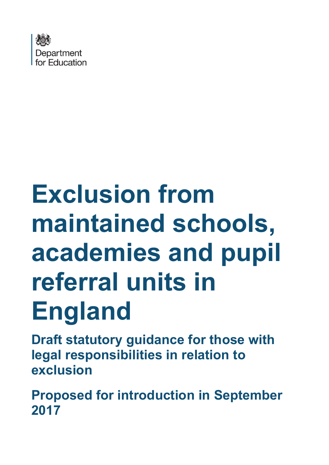

# **Exclusion from maintained schools, academies and pupil referral units in England**

**Draft statutory guidance for those with legal responsibilities in relation to exclusion**

**Proposed for introduction in September 2017**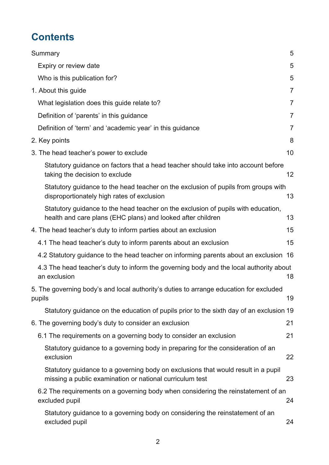# **Contents**

| Summary                                                                                                                                          | 5              |
|--------------------------------------------------------------------------------------------------------------------------------------------------|----------------|
| Expiry or review date                                                                                                                            | 5              |
| Who is this publication for?                                                                                                                     | 5              |
| 1. About this guide                                                                                                                              | $\overline{7}$ |
| What legislation does this guide relate to?                                                                                                      | 7              |
| Definition of 'parents' in this guidance                                                                                                         | $\overline{7}$ |
| Definition of 'term' and 'academic year' in this guidance                                                                                        | $\overline{7}$ |
| 2. Key points                                                                                                                                    | 8              |
| 3. The head teacher's power to exclude                                                                                                           | 10             |
| Statutory guidance on factors that a head teacher should take into account before<br>taking the decision to exclude                              | 12             |
| Statutory guidance to the head teacher on the exclusion of pupils from groups with<br>disproportionately high rates of exclusion                 | 13             |
| Statutory guidance to the head teacher on the exclusion of pupils with education,<br>health and care plans (EHC plans) and looked after children | 13             |
| 4. The head teacher's duty to inform parties about an exclusion                                                                                  | 15             |
| 4.1 The head teacher's duty to inform parents about an exclusion                                                                                 | 15             |
| 4.2 Statutory guidance to the head teacher on informing parents about an exclusion 16                                                            |                |
| 4.3 The head teacher's duty to inform the governing body and the local authority about<br>an exclusion                                           | 18             |
| 5. The governing body's and local authority's duties to arrange education for excluded<br>pupils                                                 | 19             |
| Statutory guidance on the education of pupils prior to the sixth day of an exclusion 19                                                          |                |
| 6. The governing body's duty to consider an exclusion                                                                                            | 21             |
| 6.1 The requirements on a governing body to consider an exclusion                                                                                | 21             |
| Statutory guidance to a governing body in preparing for the consideration of an<br>exclusion                                                     | 22             |
| Statutory guidance to a governing body on exclusions that would result in a pupil<br>missing a public examination or national curriculum test    | 23             |
| 6.2 The requirements on a governing body when considering the reinstatement of an<br>excluded pupil                                              | 24             |
| Statutory guidance to a governing body on considering the reinstatement of an<br>excluded pupil                                                  | 24             |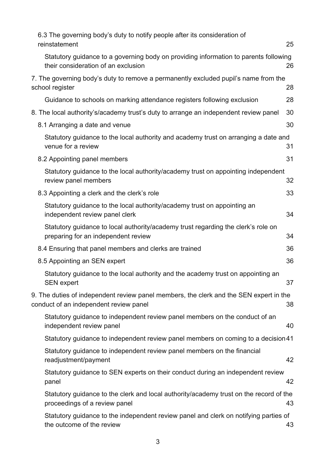| 6.3 The governing body's duty to notify people after its consideration of                                                        |    |
|----------------------------------------------------------------------------------------------------------------------------------|----|
| reinstatement                                                                                                                    | 25 |
| Statutory guidance to a governing body on providing information to parents following<br>their consideration of an exclusion      | 26 |
| 7. The governing body's duty to remove a permanently excluded pupil's name from the<br>school register                           | 28 |
| Guidance to schools on marking attendance registers following exclusion                                                          | 28 |
| 8. The local authority's/academy trust's duty to arrange an independent review panel                                             | 30 |
| 8.1 Arranging a date and venue                                                                                                   | 30 |
| Statutory guidance to the local authority and academy trust on arranging a date and<br>venue for a review                        | 31 |
| 8.2 Appointing panel members                                                                                                     | 31 |
| Statutory guidance to the local authority/academy trust on appointing independent<br>review panel members                        | 32 |
| 8.3 Appointing a clerk and the clerk's role                                                                                      | 33 |
| Statutory guidance to the local authority/academy trust on appointing an<br>independent review panel clerk                       | 34 |
| Statutory guidance to local authority/academy trust regarding the clerk's role on<br>preparing for an independent review         | 34 |
| 8.4 Ensuring that panel members and clerks are trained                                                                           | 36 |
| 8.5 Appointing an SEN expert                                                                                                     | 36 |
| Statutory guidance to the local authority and the academy trust on appointing an<br><b>SEN</b> expert                            | 37 |
| 9. The duties of independent review panel members, the clerk and the SEN expert in the<br>conduct of an independent review panel | 38 |
| Statutory guidance to independent review panel members on the conduct of an<br>independent review panel                          | 40 |
| Statutory guidance to independent review panel members on coming to a decision 41                                                |    |
| Statutory guidance to independent review panel members on the financial<br>readjustment/payment                                  | 42 |
| Statutory guidance to SEN experts on their conduct during an independent review<br>panel                                         | 42 |
| Statutory guidance to the clerk and local authority/academy trust on the record of the<br>proceedings of a review panel          | 43 |
| Statutory guidance to the independent review panel and clerk on notifying parties of<br>the outcome of the review                | 43 |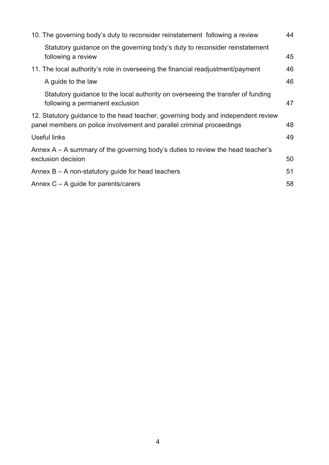| 10. The governing body's duty to reconsider reinstatement following a review                                                                               | 44 |  |
|------------------------------------------------------------------------------------------------------------------------------------------------------------|----|--|
| Statutory guidance on the governing body's duty to reconsider reinstatement<br>following a review                                                          | 45 |  |
| 11. The local authority's role in overseeing the financial readjustment/payment                                                                            | 46 |  |
| A guide to the law                                                                                                                                         | 46 |  |
| Statutory guidance to the local authority on overseeing the transfer of funding<br>following a permanent exclusion                                         | 47 |  |
| 12. Statutory guidance to the head teacher, governing body and independent review<br>panel members on police involvement and parallel criminal proceedings |    |  |
| Useful links                                                                                                                                               |    |  |
| Annex $A - A$ summary of the governing body's duties to review the head teacher's<br>exclusion decision                                                    |    |  |
| Annex $B - A$ non-statutory guide for head teachers                                                                                                        |    |  |
| Annex $C - A$ guide for parents/carers                                                                                                                     |    |  |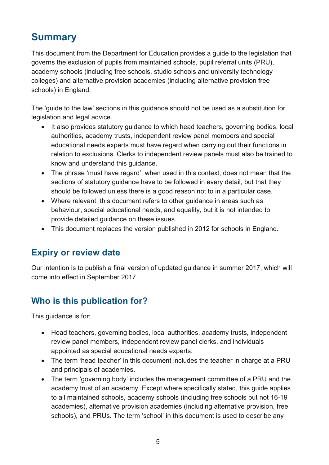# <span id="page-4-0"></span>**Summary**

This document from the Department for Education provides a guide to the legislation that governs the exclusion of pupils from maintained schools, pupil referral units (PRU), academy schools (including free schools, studio schools and university technology colleges) and alternative provision academies (including alternative provision free schools) in England.

The 'guide to the law' sections in this guidance should not be used as a substitution for legislation and legal advice.

- It also provides statutory guidance to which head teachers, governing bodies, local authorities, academy trusts, independent review panel members and special educational needs experts must have regard when carrying out their functions in relation to exclusions. Clerks to independent review panels must also be trained to know and understand this guidance.
- The phrase 'must have regard', when used in this context, does not mean that the sections of statutory guidance have to be followed in every detail, but that they should be followed unless there is a good reason not to in a particular case.
- Where relevant, this document refers to other guidance in areas such as behaviour, special educational needs, and equality, but it is not intended to provide detailed guidance on these issues.
- This document replaces the version published in 2012 for schools in England.

# <span id="page-4-1"></span>**Expiry or review date**

Our intention is to publish a final version of updated guidance in summer 2017, which will come into effect in September 2017.

# <span id="page-4-2"></span>**Who is this publication for?**

This guidance is for:

- Head teachers, governing bodies, local authorities, academy trusts, independent review panel members, independent review panel clerks, and individuals appointed as special educational needs experts.
- The term 'head teacher' in this document includes the teacher in charge at a PRU and principals of academies.
- The term 'governing body' includes the management committee of a PRU and the academy trust of an academy. Except where specifically stated, this guide applies to all maintained schools, academy schools (including free schools but not 16-19 academies), alternative provision academies (including alternative provision, free schools), and PRUs. The term 'school' in this document is used to describe any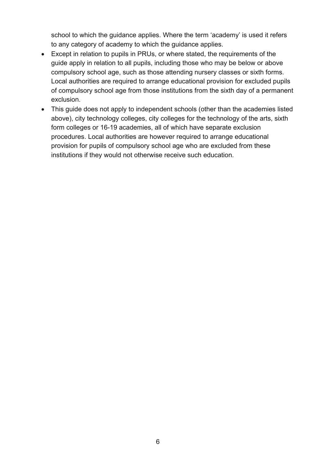school to which the guidance applies. Where the term 'academy' is used it refers to any category of academy to which the guidance applies.

- Except in relation to pupils in PRUs, or where stated, the requirements of the guide apply in relation to all pupils, including those who may be below or above compulsory school age, such as those attending nursery classes or sixth forms. Local authorities are required to arrange educational provision for excluded pupils of compulsory school age from those institutions from the sixth day of a permanent exclusion.
- This guide does not apply to independent schools (other than the academies listed above), city technology colleges, city colleges for the technology of the arts, sixth form colleges or 16-19 academies, all of which have separate exclusion procedures. Local authorities are however required to arrange educational provision for pupils of compulsory school age who are excluded from these institutions if they would not otherwise receive such education.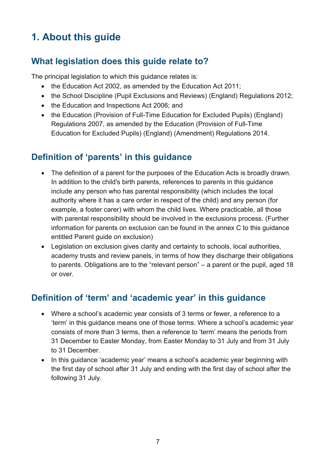# <span id="page-6-0"></span>**1. About this guide**

# <span id="page-6-1"></span>**What legislation does this guide relate to?**

The principal legislation to which this guidance relates is:

- the Education Act 2002, as amended by the Education Act 2011;
- the School Discipline (Pupil Exclusions and Reviews) (England) Regulations 2012;
- the Education and Inspections Act 2006; and
- the Education (Provision of Full-Time Education for Excluded Pupils) (England) Regulations 2007, as amended by the Education (Provision of Full-Time Education for Excluded Pupils) (England) (Amendment) Regulations 2014.

# <span id="page-6-2"></span>**Definition of 'parents' in this guidance**

- The definition of a parent for the purposes of the Education Acts is broadly drawn. In addition to the child's birth parents, references to parents in this guidance include any person who has parental responsibility (which includes the local authority where it has a care order in respect of the child) and any person (for example, a foster carer) with whom the child lives. Where practicable, all those with parental responsibility should be involved in the exclusions process. (Further information for parents on exclusion can be found in the annex C to this guidance entitled Parent guide on exclusion)
- Legislation on exclusion gives clarity and certainty to schools, local authorities, academy trusts and review panels, in terms of how they discharge their obligations to parents. Obligations are to the "relevant person" – a parent or the pupil, aged 18 or over.

# <span id="page-6-3"></span>**Definition of 'term' and 'academic year' in this guidance**

- Where a school's academic year consists of 3 terms or fewer, a reference to a 'term' in this guidance means one of those terms. Where a school's academic year consists of more than 3 terms, then a reference to 'term' means the periods from 31 December to Easter Monday, from Easter Monday to 31 July and from 31 July to 31 December.
- In this guidance 'academic year' means a school's academic year beginning with the first day of school after 31 July and ending with the first day of school after the following 31 July.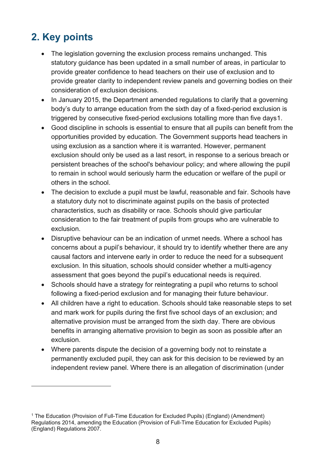# <span id="page-7-0"></span>**2. Key points**

- The legislation governing the exclusion process remains unchanged. This statutory guidance has been updated in a small number of areas, in particular to provide greater confidence to head teachers on their use of exclusion and to provide greater clarity to independent review panels and governing bodies on their consideration of exclusion decisions.
- In January 2015, the Department amended regulations to clarify that a governing body's duty to arrange education from the sixth day of a fixed-period exclusion is triggered by consecutive fixed-period exclusions totalling more than five days[1](#page-7-1).
- Good discipline in schools is essential to ensure that all pupils can benefit from the opportunities provided by education. The Government supports head teachers in using exclusion as a sanction where it is warranted. However, permanent exclusion should only be used as a last resort, in response to a serious breach or persistent breaches of the school's behaviour policy; and where allowing the pupil to remain in school would seriously harm the education or welfare of the pupil or others in the school.
- The decision to exclude a pupil must be lawful, reasonable and fair. Schools have a statutory duty not to discriminate against pupils on the basis of protected characteristics, such as disability or race. Schools should give particular consideration to the fair treatment of pupils from groups who are vulnerable to exclusion.
- Disruptive behaviour can be an indication of unmet needs. Where a school has concerns about a pupil's behaviour, it should try to identify whether there are any causal factors and intervene early in order to reduce the need for a subsequent exclusion. In this situation, schools should consider whether a multi-agency assessment that goes beyond the pupil's educational needs is required.
- Schools should have a strategy for reintegrating a pupil who returns to school following a fixed-period exclusion and for managing their future behaviour.
- All children have a right to education. Schools should take reasonable steps to set and mark work for pupils during the first five school days of an exclusion; and alternative provision must be arranged from the sixth day. There are obvious benefits in arranging alternative provision to begin as soon as possible after an exclusion.
- Where parents dispute the decision of a governing body not to reinstate a permanently excluded pupil, they can ask for this decision to be reviewed by an independent review panel. Where there is an allegation of discrimination (under

<span id="page-7-1"></span><sup>1</sup> The Education (Provision of Full-Time Education for Excluded Pupils) (England) (Amendment) Regulations 2014, amending the Education (Provision of Full-Time Education for Excluded Pupils) (England) Regulations 2007.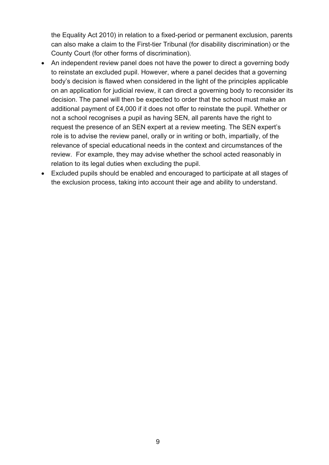the Equality Act 2010) in relation to a fixed-period or permanent exclusion, parents can also make a claim to the First-tier Tribunal (for disability discrimination) or the County Court (for other forms of discrimination).

- An independent review panel does not have the power to direct a governing body to reinstate an excluded pupil. However, where a panel decides that a governing body's decision is flawed when considered in the light of the principles applicable on an application for judicial review, it can direct a governing body to reconsider its decision. The panel will then be expected to order that the school must make an additional payment of £4,000 if it does not offer to reinstate the pupil. Whether or not a school recognises a pupil as having SEN, all parents have the right to request the presence of an SEN expert at a review meeting. The SEN expert's role is to advise the review panel, orally or in writing or both, impartially, of the relevance of special educational needs in the context and circumstances of the review. For example, they may advise whether the school acted reasonably in relation to its legal duties when excluding the pupil.
- Excluded pupils should be enabled and encouraged to participate at all stages of the exclusion process, taking into account their age and ability to understand.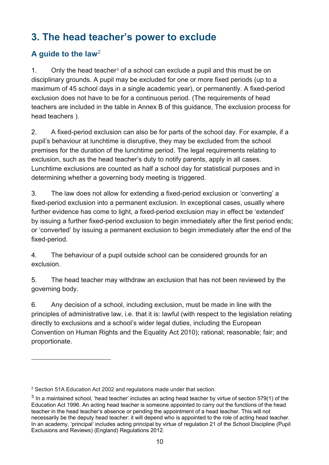# <span id="page-9-0"></span>**3. The head teacher's power to exclude**

### **A guide to the law**[2](#page-9-1)

 $\overline{a}$ 

1. Only the head teacher<sup>[3](#page-9-2)</sup> of a school can exclude a pupil and this must be on disciplinary grounds. A pupil may be excluded for one or more fixed periods (up to a maximum of 45 school days in a single academic year), or permanently. A fixed-period exclusion does not have to be for a continuous period. (The requirements of head teachers are included in the table in Annex B of this guidance, The exclusion process for head teachers ).

2. A fixed-period exclusion can also be for parts of the school day. For example, if a pupil's behaviour at lunchtime is disruptive, they may be excluded from the school premises for the duration of the lunchtime period. The legal requirements relating to exclusion, such as the head teacher's duty to notify parents, apply in all cases. Lunchtime exclusions are counted as half a school day for statistical purposes and in determining whether a governing body meeting is triggered.

3. The law does not allow for extending a fixed-period exclusion or 'converting' a fixed-period exclusion into a permanent exclusion. In exceptional cases, usually where further evidence has come to light, a fixed-period exclusion may in effect be 'extended' by issuing a further fixed-period exclusion to begin immediately after the first period ends; or 'converted' by issuing a permanent exclusion to begin immediately after the end of the fixed-period.

4. The behaviour of a pupil outside school can be considered grounds for an exclusion.

5. The head teacher may withdraw an exclusion that has not been reviewed by the governing body.

6. Any decision of a school, including exclusion, must be made in line with the principles of administrative law, i.e. that it is: lawful (with respect to the legislation relating directly to exclusions and a school's wider legal duties, including the European Convention on Human Rights and the Equality Act 2010); rational; reasonable; fair; and proportionate.

<span id="page-9-1"></span><sup>2</sup> Section 51A Education Act 2002 and regulations made under that section.

<span id="page-9-2"></span> $3$  In a maintained school, 'head teacher' includes an acting head teacher by virtue of section 579(1) of the Education Act 1996. An acting head teacher is someone appointed to carry out the functions of the head teacher in the head teacher's absence or pending the appointment of a head teacher. This will not necessarily be the deputy head teacher: it will depend who is appointed to the role of acting head teacher. In an academy, 'principal' includes acting principal by virtue of regulation 21 of the School Discipline (Pupil Exclusions and Reviews) (England) Regulations 2012.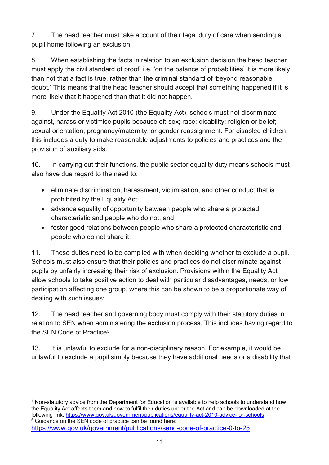7. The head teacher must take account of their legal duty of care when sending a pupil home following an exclusion.

8. When establishing the facts in relation to an exclusion decision the head teacher must apply the civil standard of proof; i.e. 'on the balance of probabilities' it is more likely than not that a fact is true, rather than the criminal standard of 'beyond reasonable doubt.' This means that the head teacher should accept that something happened if it is more likely that it happened than that it did not happen.

9. Under the Equality Act 2010 (the Equality Act), schools must not discriminate against, harass or victimise pupils because of: sex; race; disability; religion or belief; sexual orientation; pregnancy/maternity; or gender reassignment. For disabled children, this includes a duty to make reasonable adjustments to policies and practices and the provision of auxiliary aids.

10. In carrying out their functions, the public sector equality duty means schools must also have due regard to the need to:

- eliminate discrimination, harassment, victimisation, and other conduct that is prohibited by the Equality Act;
- advance equality of opportunity between people who share a protected characteristic and people who do not; and
- foster good relations between people who share a protected characteristic and people who do not share it.

11. These duties need to be complied with when deciding whether to exclude a pupil. Schools must also ensure that their policies and practices do not discriminate against pupils by unfairly increasing their risk of exclusion. Provisions within the Equality Act allow schools to take positive action to deal with particular disadvantages, needs, or low participation affecting one group, where this can be shown to be a proportionate way of dealing with such issues<sup>[4](#page-10-0)</sup>.

12. The head teacher and governing body must comply with their statutory duties in relation to SEN when administering the exclusion process. This includes having regard to the SEN Code of Practice<sup>5</sup>

13. It is unlawful to exclude for a non-disciplinary reason. For example, it would be unlawful to exclude a pupil simply because they have additional needs or a disability that

<span id="page-10-0"></span><sup>4</sup> Non-statutory advice from the Department for Education is available to help schools to understand how the Equality Act affects them and how to fulfil their duties under the Act and can be downloaded at the following link: https://www.gov.uk/government/publications/equality-act-2010-advice-for-schools. <sup>5</sup> Guidance on the SEN code of practice can be found here:

<span id="page-10-1"></span><https://www.gov.uk/government/publications/send-code-of-practice-0-to-25> .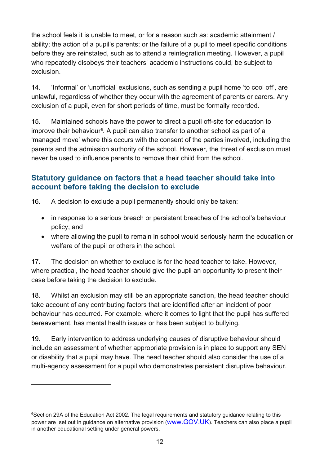the school feels it is unable to meet, or for a reason such as: academic attainment / ability; the action of a pupil's parents; or the failure of a pupil to meet specific conditions before they are reinstated, such as to attend a reintegration meeting. However, a pupil who repeatedly disobeys their teachers' academic instructions could, be subject to exclusion.

14. 'Informal' or 'unofficial' exclusions, such as sending a pupil home 'to cool off', are unlawful, regardless of whether they occur with the agreement of parents or carers. Any exclusion of a pupil, even for short periods of time, must be formally recorded.

15. Maintained schools have the power to direct a pupil off-site for education to improve their behaviour<sup>[6](#page-11-1)</sup>. A pupil can also transfer to another school as part of a 'managed move' where this occurs with the consent of the parties involved, including the parents and the admission authority of the school. However, the threat of exclusion must never be used to influence parents to remove their child from the school.

### <span id="page-11-0"></span>**Statutory guidance on factors that a head teacher should take into account before taking the decision to exclude**

16. A decision to exclude a pupil permanently should only be taken:

- in response to a serious breach or persistent breaches of the school's behaviour policy; and
- where allowing the pupil to remain in school would seriously harm the education or welfare of the pupil or others in the school.

17. The decision on whether to exclude is for the head teacher to take. However, where practical, the head teacher should give the pupil an opportunity to present their case before taking the decision to exclude.

18. Whilst an exclusion may still be an appropriate sanction, the head teacher should take account of any contributing factors that are identified after an incident of poor behaviour has occurred. For example, where it comes to light that the pupil has suffered bereavement, has mental health issues or has been subject to bullying.

19. Early intervention to address underlying causes of disruptive behaviour should include an assessment of whether appropriate provision is in place to support any SEN or disability that a pupil may have. The head teacher should also consider the use of a multi-agency assessment for a pupil who demonstrates persistent disruptive behaviour.

<span id="page-11-1"></span><sup>&</sup>lt;sup>6</sup>Section 29A of the Education Act 2002. The legal requirements and statutory guidance relating to this power are set out in guidance on alternative provision [\(www.GOV.UK\)](http://www.gov.uk/). Teachers can also place a pupil in another educational setting under general powers.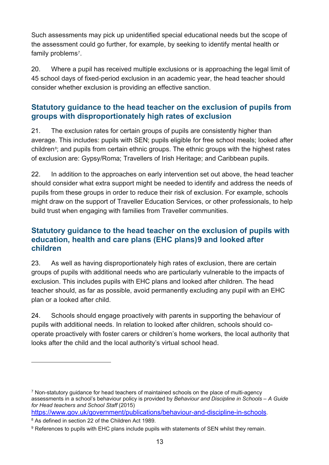Such assessments may pick up unidentified special educational needs but the scope of the assessment could go further, for example, by seeking to identify mental health or family problems<sup>7</sup>.

20. Where a pupil has received multiple exclusions or is approaching the legal limit of 45 school days of fixed-period exclusion in an academic year, the head teacher should consider whether exclusion is providing an effective sanction.

### <span id="page-12-0"></span>**Statutory guidance to the head teacher on the exclusion of pupils from groups with disproportionately high rates of exclusion**

21. The exclusion rates for certain groups of pupils are consistently higher than average. This includes: pupils with SEN; pupils eligible for free school meals; looked after children<sup>8</sup>; and pupils from certain ethnic groups. The ethnic groups with the highest rates of exclusion are: Gypsy/Roma; Travellers of Irish Heritage; and Caribbean pupils.

22. In addition to the approaches on early intervention set out above, the head teacher should consider what extra support might be needed to identify and address the needs of pupils from these groups in order to reduce their risk of exclusion. For example, schools might draw on the support of Traveller Education Services, or other professionals, to help build trust when engaging with families from Traveller communities.

### <span id="page-12-1"></span>**Statutory guidance to the head teacher on the exclusion of pupils with education, health and care plans (EHC plans)[9](#page-12-4) and looked after children**

23. As well as having disproportionately high rates of exclusion, there are certain groups of pupils with additional needs who are particularly vulnerable to the impacts of exclusion. This includes pupils with EHC plans and looked after children. The head teacher should, as far as possible, avoid permanently excluding any pupil with an EHC plan or a looked after child.

24. Schools should engage proactively with parents in supporting the behaviour of pupils with additional needs. In relation to looked after children, schools should cooperate proactively with foster carers or children's home workers, the local authority that looks after the child and the local authority's virtual school head.

<span id="page-12-2"></span><sup>&</sup>lt;sup>7</sup> Non-statutory guidance for head teachers of maintained schools on the place of multi-agency assessments in a school's behaviour policy is provided by *Behaviour and Discipline in Schools – A Guide for Head teachers and School Staff* (2015)

[https://www.gov.uk/government/publications/behaviour-and-discipline-in-schools.](https://www.gov.uk/government/publications/behaviour-and-discipline-in-schools)

<span id="page-12-3"></span><sup>8</sup> As defined in section 22 of the Children Act 1989.

<span id="page-12-4"></span><sup>&</sup>lt;sup>9</sup> References to pupils with EHC plans include pupils with statements of SEN whilst they remain.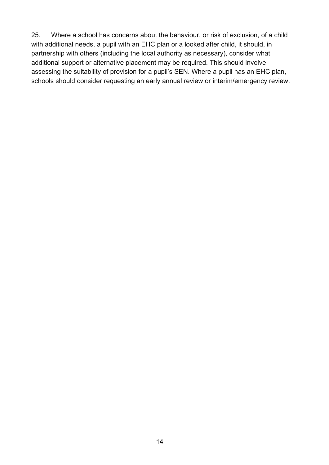25. Where a school has concerns about the behaviour, or risk of exclusion, of a child with additional needs, a pupil with an EHC plan or a looked after child, it should, in partnership with others (including the local authority as necessary), consider what additional support or alternative placement may be required. This should involve assessing the suitability of provision for a pupil's SEN. Where a pupil has an EHC plan, schools should consider requesting an early annual review or interim/emergency review.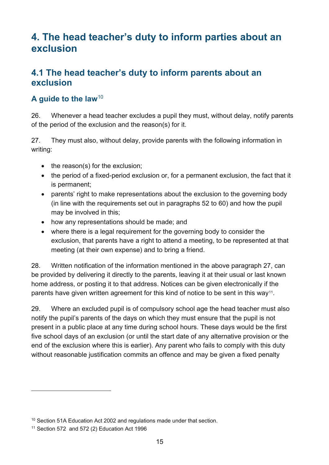# <span id="page-14-0"></span>**4. The head teacher's duty to inform parties about an exclusion**

# <span id="page-14-1"></span>**4.1 The head teacher's duty to inform parents about an exclusion**

### **A guide to the law**[10](#page-14-2)

26. Whenever a head teacher excludes a pupil they must, without delay, notify parents of the period of the exclusion and the reason(s) for it.

27. They must also, without delay, provide parents with the following information in writing:

- the reason(s) for the exclusion;
- the period of a fixed-period exclusion or, for a permanent exclusion, the fact that it is permanent;
- parents' right to make representations about the exclusion to the governing body (in line with the requirements set out in paragraphs 52 to 60) and how the pupil may be involved in this;
- how any representations should be made; and
- where there is a legal requirement for the governing body to consider the exclusion, that parents have a right to attend a meeting, to be represented at that meeting (at their own expense) and to bring a friend.

28. Written notification of the information mentioned in the above paragraph 27, can be provided by delivering it directly to the parents, leaving it at their usual or last known home address, or posting it to that address. Notices can be given electronically if the parents have given written agreement for this kind of notice to be sent in this way<sup>11</sup>.

29. Where an excluded pupil is of compulsory school age the head teacher must also notify the pupil's parents of the days on which they must ensure that the pupil is not present in a public place at any time during school hours. These days would be the first five school days of an exclusion (or until the start date of any alternative provision or the end of the exclusion where this is earlier). Any parent who fails to comply with this duty without reasonable justification commits an offence and may be given a fixed penalty

<span id="page-14-2"></span><sup>&</sup>lt;sup>10</sup> Section 51A Education Act 2002 and regulations made under that section.

<span id="page-14-3"></span> $11$  Section 572 and 572 (2) Education Act 1996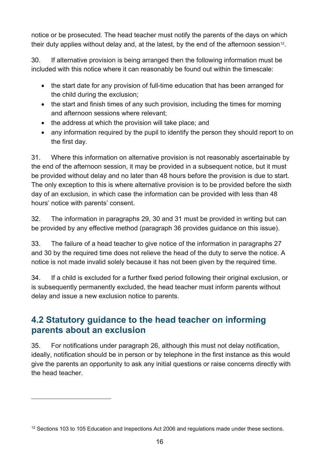notice or be prosecuted. The head teacher must notify the parents of the days on which their duty applies without delay and, at the latest, by the end of the afternoon session<sup>12</sup>.

30. If alternative provision is being arranged then the following information must be included with this notice where it can reasonably be found out within the timescale:

- the start date for any provision of full-time education that has been arranged for the child during the exclusion;
- the start and finish times of any such provision, including the times for morning and afternoon sessions where relevant;
- the address at which the provision will take place; and
- any information required by the pupil to identify the person they should report to on the first day.

31. Where this information on alternative provision is not reasonably ascertainable by the end of the afternoon session, it may be provided in a subsequent notice, but it must be provided without delay and no later than 48 hours before the provision is due to start. The only exception to this is where alternative provision is to be provided before the sixth day of an exclusion, in which case the information can be provided with less than 48 hours' notice with parents' consent.

32. The information in paragraphs 29, 30 and 31 must be provided in writing but can be provided by any effective method (paragraph 36 provides guidance on this issue).

33. The failure of a head teacher to give notice of the information in paragraphs 27 and 30 by the required time does not relieve the head of the duty to serve the notice. A notice is not made invalid solely because it has not been given by the required time.

34. If a child is excluded for a further fixed period following their original exclusion, or is subsequently permanently excluded, the head teacher must inform parents without delay and issue a new exclusion notice to parents.

# <span id="page-15-0"></span>**4.2 Statutory guidance to the head teacher on informing parents about an exclusion**

35. For notifications under paragraph 26, although this must not delay notification, ideally, notification should be in person or by telephone in the first instance as this would give the parents an opportunity to ask any initial questions or raise concerns directly with the head teacher.

<span id="page-15-1"></span><sup>&</sup>lt;sup>12</sup> Sections 103 to 105 Education and Inspections Act 2006 and regulations made under these sections.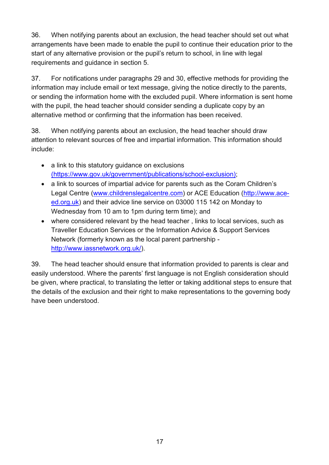36. When notifying parents about an exclusion, the head teacher should set out what arrangements have been made to enable the pupil to continue their education prior to the start of any alternative provision or the pupil's return to school, in line with legal requirements and guidance in section 5.

37. For notifications under paragraphs 29 and 30, effective methods for providing the information may include email or text message, giving the notice directly to the parents, or sending the information home with the excluded pupil. Where information is sent home with the pupil, the head teacher should consider sending a duplicate copy by an alternative method or confirming that the information has been received.

38. When notifying parents about an exclusion, the head teacher should draw attention to relevant sources of free and impartial information. This information should include:

- a link to this statutory guidance on exclusions (https://www.gov.uk/government/publications/school-exclusion);
- a link to sources of impartial advice for parents such as the Coram Children's Legal Centre [\(www.childrenslegalcentre.com\)](http://www.childrenslegalcentre.com/) or ACE Education [\(http://www.ace](http://www.ace-ed.org.uk/)[ed.org.uk\)](http://www.ace-ed.org.uk/) and their advice line service on [03000 115 142](tel:03000%20115%20142) on Monday to Wednesday from 10 am to 1pm during term time); and
- where considered relevant by the head teacher , links to local services, such as Traveller Education Services or the Information Advice & Support Services Network (formerly known as the local parent partnership http://www.iassnetwork.org.uk/).

39. The head teacher should ensure that information provided to parents is clear and easily understood. Where the parents' first language is not English consideration should be given, where practical, to translating the letter or taking additional steps to ensure that the details of the exclusion and their right to make representations to the governing body have been understood.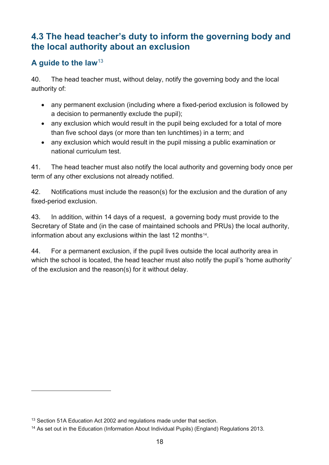# <span id="page-17-0"></span>**4.3 The head teacher's duty to inform the governing body and the local authority about an exclusion**

### **A guide to the law**[13](#page-17-1)

40. The head teacher must, without delay, notify the governing body and the local authority of:

- any permanent exclusion (including where a fixed-period exclusion is followed by a decision to permanently exclude the pupil);
- any exclusion which would result in the pupil being excluded for a total of more than five school days (or more than ten lunchtimes) in a term; and
- any exclusion which would result in the pupil missing a public examination or national curriculum test.

41. The head teacher must also notify the local authority and governing body once per term of any other exclusions not already notified.

42. Notifications must include the reason(s) for the exclusion and the duration of any fixed-period exclusion.

43. In addition, within 14 days of a request, a governing body must provide to the Secretary of State and (in the case of maintained schools and PRUs) the local authority, information about any exclusions within the last 12 months<sup>14</sup>.

44. For a permanent exclusion, if the pupil lives outside the local authority area in which the school is located, the head teacher must also notify the pupil's 'home authority' of the exclusion and the reason(s) for it without delay.

<span id="page-17-1"></span><sup>&</sup>lt;sup>13</sup> Section 51A Education Act 2002 and regulations made under that section.

<span id="page-17-2"></span><sup>&</sup>lt;sup>14</sup> As set out in the Education (Information About Individual Pupils) (England) Regulations 2013.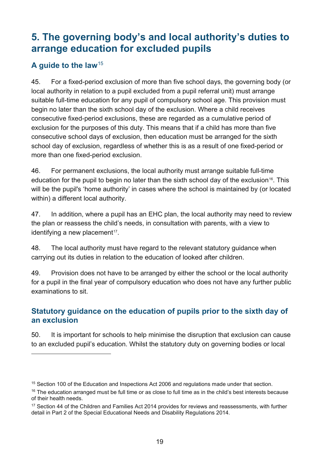# <span id="page-18-0"></span>**5. The governing body's and local authority's duties to arrange education for excluded pupils**

### **A guide to the law**[15](#page-18-2)

 $\overline{a}$ 

45. For a fixed-period exclusion of more than five school days, the governing body (or local authority in relation to a pupil excluded from a pupil referral unit) must arrange suitable full-time education for any pupil of compulsory school age. This provision must begin no later than the sixth school day of the exclusion. Where a child receives consecutive fixed-period exclusions, these are regarded as a cumulative period of exclusion for the purposes of this duty. This means that if a child has more than five consecutive school days of exclusion, then education must be arranged for the sixth school day of exclusion, regardless of whether this is as a result of one fixed-period or more than one fixed-period exclusion.

46. For permanent exclusions, the local authority must arrange suitable full-time education for the pupil to begin no later than the sixth school day of the exclusion<sup>[16](#page-18-3)</sup>. This will be the pupil's 'home authority' in cases where the school is maintained by (or located within) a different local authority.

47. In addition, where a pupil has an EHC plan, the local authority may need to review the plan or reassess the child's needs, in consultation with parents, with a view to identifying a new placement<sup>[17](#page-18-4)</sup>.

48. The local authority must have regard to the relevant statutory guidance when carrying out its duties in relation to the education of looked after children.

49. Provision does not have to be arranged by either the school or the local authority for a pupil in the final year of compulsory education who does not have any further public examinations to sit.

### <span id="page-18-1"></span>**Statutory guidance on the education of pupils prior to the sixth day of an exclusion**

50. It is important for schools to help minimise the disruption that exclusion can cause to an excluded pupil's education. Whilst the statutory duty on governing bodies or local

<span id="page-18-2"></span><sup>&</sup>lt;sup>15</sup> Section 100 of the Education and Inspections Act 2006 and regulations made under that section.

<span id="page-18-3"></span><sup>&</sup>lt;sup>16</sup> The education arranged must be full time or as close to full time as in the child's best interests because of their health needs.

<span id="page-18-4"></span><sup>&</sup>lt;sup>17</sup> Section 44 of the Children and Families Act 2014 provides for reviews and reassessments, with further detail in Part 2 of the Special Educational Needs and Disability Regulations 2014.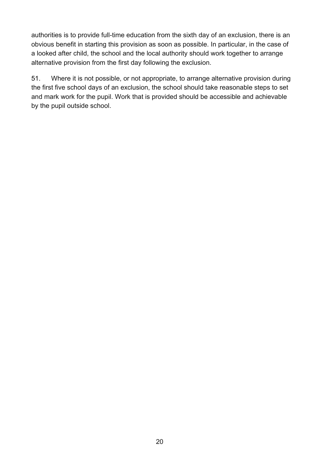authorities is to provide full-time education from the sixth day of an exclusion, there is an obvious benefit in starting this provision as soon as possible. In particular, in the case of a looked after child, the school and the local authority should work together to arrange alternative provision from the first day following the exclusion.

51. Where it is not possible, or not appropriate, to arrange alternative provision during the first five school days of an exclusion, the school should take reasonable steps to set and mark work for the pupil. Work that is provided should be accessible and achievable by the pupil outside school.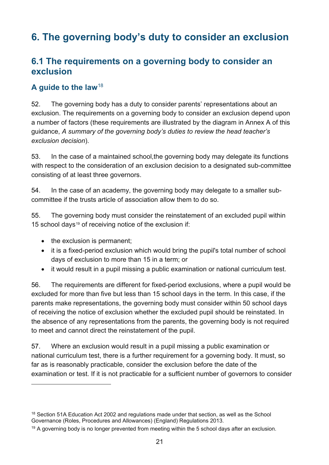# <span id="page-20-0"></span>**6. The governing body's duty to consider an exclusion**

# <span id="page-20-1"></span>**6.1 The requirements on a governing body to consider an exclusion**

### **A guide to the law**[18](#page-20-2)

52. The governing body has a duty to consider parents' representations about an exclusion. The requirements on a governing body to consider an exclusion depend upon a number of factors (these requirements are illustrated by the diagram in Annex A of this guidance, *A summary of the governing body's duties to review the head teacher's exclusion decision*).

53. In the case of a maintained school,the governing body may delegate its functions with respect to the consideration of an exclusion decision to a designated sub-committee consisting of at least three governors.

54. In the case of an academy, the governing body may delegate to a smaller subcommittee if the trusts article of association allow them to do so.

55. The governing body must consider the reinstatement of an excluded pupil within 15 school days<sup>[19](#page-20-3)</sup> of receiving notice of the exclusion if:

• the exclusion is permanent;

 $\overline{a}$ 

- it is a fixed-period exclusion which would bring the pupil's total number of school days of exclusion to more than 15 in a term; or
- it would result in a pupil missing a public examination or national curriculum test.

56. The requirements are different for fixed-period exclusions, where a pupil would be excluded for more than five but less than 15 school days in the term. In this case, if the parents make representations, the governing body must consider within 50 school days of receiving the notice of exclusion whether the excluded pupil should be reinstated. In the absence of any representations from the parents, the governing body is not required to meet and cannot direct the reinstatement of the pupil.

57. Where an exclusion would result in a pupil missing a public examination or national curriculum test, there is a further requirement for a governing body. It must, so far as is reasonably practicable, consider the exclusion before the date of the examination or test. If it is not practicable for a sufficient number of governors to consider

<span id="page-20-2"></span><sup>&</sup>lt;sup>18</sup> Section 51A Education Act 2002 and regulations made under that section, as well as the School Governance (Roles, Procedures and Allowances) (England) Regulations 2013.

<span id="page-20-3"></span> $19$  A governing body is no longer prevented from meeting within the 5 school days after an exclusion.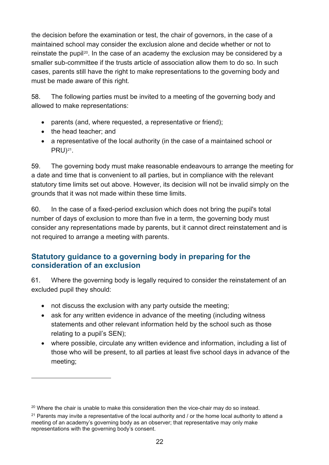the decision before the examination or test, the chair of governors, in the case of a maintained school may consider the exclusion alone and decide whether or not to reinstate the pupil<sup>[20](#page-21-1)</sup>. In the case of an academy the exclusion may be considered by a smaller sub-committee if the trusts article of association allow them to do so. In such cases, parents still have the right to make representations to the governing body and must be made aware of this right.

58. The following parties must be invited to a meeting of the governing body and allowed to make representations:

- parents (and, where requested, a representative or friend);
- the head teacher; and

 $\overline{a}$ 

• a representative of the local authority (in the case of a maintained school or PRU)[21.](#page-21-2)

59. The governing body must make reasonable endeavours to arrange the meeting for a date and time that is convenient to all parties, but in compliance with the relevant statutory time limits set out above. However, its decision will not be invalid simply on the grounds that it was not made within these time limits.

60. In the case of a fixed-period exclusion which does not bring the pupil's total number of days of exclusion to more than five in a term, the governing body must consider any representations made by parents, but it cannot direct reinstatement and is not required to arrange a meeting with parents.

### <span id="page-21-0"></span>**Statutory guidance to a governing body in preparing for the consideration of an exclusion**

61. Where the governing body is legally required to consider the reinstatement of an excluded pupil they should:

- not discuss the exclusion with any party outside the meeting;
- ask for any written evidence in advance of the meeting (including witness statements and other relevant information held by the school such as those relating to a pupil's SEN);
- where possible, circulate any written evidence and information, including a list of those who will be present, to all parties at least five school days in advance of the meeting;

<span id="page-21-1"></span> $20$  Where the chair is unable to make this consideration then the vice-chair may do so instead.

<span id="page-21-2"></span><sup>&</sup>lt;sup>21</sup> Parents may invite a representative of the local authority and / or the home local authority to attend a meeting of an academy's governing body as an observer; that representative may only make representations with the governing body's consent.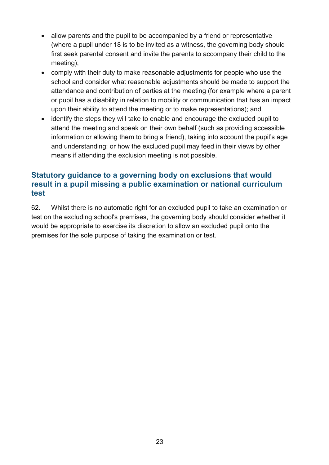- allow parents and the pupil to be accompanied by a friend or representative (where a pupil under 18 is to be invited as a witness, the governing body should first seek parental consent and invite the parents to accompany their child to the meeting);
- comply with their duty to make reasonable adjustments for people who use the school and consider what reasonable adjustments should be made to support the attendance and contribution of parties at the meeting (for example where a parent or pupil has a disability in relation to mobility or communication that has an impact upon their ability to attend the meeting or to make representations); and
- identify the steps they will take to enable and encourage the excluded pupil to attend the meeting and speak on their own behalf (such as providing accessible information or allowing them to bring a friend), taking into account the pupil's age and understanding; or how the excluded pupil may feed in their views by other means if attending the exclusion meeting is not possible.

### <span id="page-22-0"></span>**Statutory guidance to a governing body on exclusions that would result in a pupil missing a public examination or national curriculum test**

62. Whilst there is no automatic right for an excluded pupil to take an examination or test on the excluding school's premises, the governing body should consider whether it would be appropriate to exercise its discretion to allow an excluded pupil onto the premises for the sole purpose of taking the examination or test.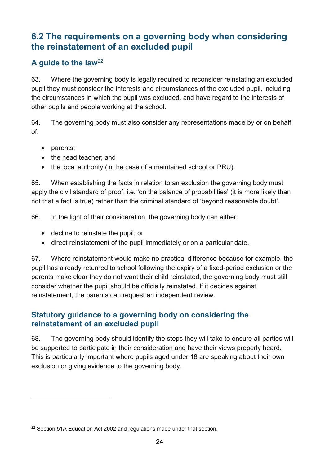# <span id="page-23-0"></span>**6.2 The requirements on a governing body when considering the reinstatement of an excluded pupil**

### **A guide to the law**[22](#page-23-2)

63. Where the governing body is legally required to reconsider reinstating an excluded pupil they must consider the interests and circumstances of the excluded pupil, including the circumstances in which the pupil was excluded, and have regard to the interests of other pupils and people working at the school.

64. The governing body must also consider any representations made by or on behalf of:

• parents;

 $\overline{a}$ 

- the head teacher; and
- the local authority (in the case of a maintained school or PRU).

65. When establishing the facts in relation to an exclusion the governing body must apply the civil standard of proof; i.e. 'on the balance of probabilities' (it is more likely than not that a fact is true) rather than the criminal standard of 'beyond reasonable doubt'.

66. In the light of their consideration, the governing body can either:

- decline to reinstate the pupil; or
- direct reinstatement of the pupil immediately or on a particular date.

67. Where reinstatement would make no practical difference because for example, the pupil has already returned to school following the expiry of a fixed-period exclusion or the parents make clear they do not want their child reinstated, the governing body must still consider whether the pupil should be officially reinstated. If it decides against reinstatement, the parents can request an independent review.

### <span id="page-23-1"></span>**Statutory guidance to a governing body on considering the reinstatement of an excluded pupil**

68. The governing body should identify the steps they will take to ensure all parties will be supported to participate in their consideration and have their views properly heard. This is particularly important where pupils aged under 18 are speaking about their own exclusion or giving evidence to the governing body.

<span id="page-23-2"></span><sup>&</sup>lt;sup>22</sup> Section 51A Education Act 2002 and regulations made under that section.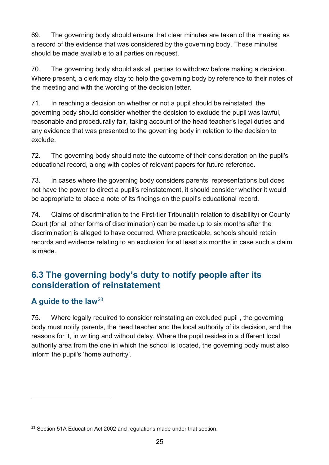69. The governing body should ensure that clear minutes are taken of the meeting as a record of the evidence that was considered by the governing body. These minutes should be made available to all parties on request.

70. The governing body should ask all parties to withdraw before making a decision. Where present, a clerk may stay to help the governing body by reference to their notes of the meeting and with the wording of the decision letter.

71. In reaching a decision on whether or not a pupil should be reinstated, the governing body should consider whether the decision to exclude the pupil was lawful, reasonable and procedurally fair, taking account of the head teacher's legal duties and any evidence that was presented to the governing body in relation to the decision to exclude.

72. The governing body should note the outcome of their consideration on the pupil's educational record, along with copies of relevant papers for future reference.

73. In cases where the governing body considers parents' representations but does not have the power to direct a pupil's reinstatement, it should consider whether it would be appropriate to place a note of its findings on the pupil's educational record.

74. Claims of discrimination to the First-tier Tribunal(in relation to disability) or County Court (for all other forms of discrimination) can be made up to six months after the discrimination is alleged to have occurred. Where practicable, schools should retain records and evidence relating to an exclusion for at least six months in case such a claim is made.

# <span id="page-24-0"></span>**6.3 The governing body's duty to notify people after its consideration of reinstatement**

### **A guide to the law**[23](#page-24-1)

 $\overline{a}$ 

75. Where legally required to consider reinstating an excluded pupil , the governing body must notify parents, the head teacher and the local authority of its decision, and the reasons for it, in writing and without delay. Where the pupil resides in a different local authority area from the one in which the school is located, the governing body must also inform the pupil's 'home authority'.

<span id="page-24-1"></span><sup>&</sup>lt;sup>23</sup> Section 51A Education Act 2002 and regulations made under that section.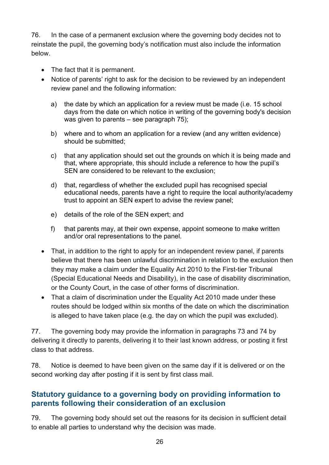76. In the case of a permanent exclusion where the governing body decides not to reinstate the pupil, the governing body's notification must also include the information below.

- The fact that it is permanent.
- Notice of parents' right to ask for the decision to be reviewed by an independent review panel and the following information:
	- a) the date by which an application for a review must be made (i.e. 15 school days from the date on which notice in writing of the governing body's decision was given to parents – see paragraph 75);
	- b) where and to whom an application for a review (and any written evidence) should be submitted;
	- c) that any application should set out the grounds on which it is being made and that, where appropriate, this should include a reference to how the pupil's SEN are considered to be relevant to the exclusion;
	- d) that, regardless of whether the excluded pupil has recognised special educational needs, parents have a right to require the local authority/academy trust to appoint an SEN expert to advise the review panel;
	- e) details of the role of the SEN expert; and
	- f) that parents may, at their own expense, appoint someone to make written and/or oral representations to the panel.
- That, in addition to the right to apply for an independent review panel, if parents believe that there has been unlawful discrimination in relation to the exclusion then they may make a claim under the Equality Act 2010 to the First-tier Tribunal (Special Educational Needs and Disability), in the case of disability discrimination, or the County Court, in the case of other forms of discrimination.
- That a claim of discrimination under the Equality Act 2010 made under these routes should be lodged within six months of the date on which the discrimination is alleged to have taken place (e.g. the day on which the pupil was excluded).

77. The governing body may provide the information in paragraphs 73 and 74 by delivering it directly to parents, delivering it to their last known address, or posting it first class to that address.

78. Notice is deemed to have been given on the same day if it is delivered or on the second working day after posting if it is sent by first class mail.

### <span id="page-25-0"></span>**Statutory guidance to a governing body on providing information to parents following their consideration of an exclusion**

79. The governing body should set out the reasons for its decision in sufficient detail to enable all parties to understand why the decision was made.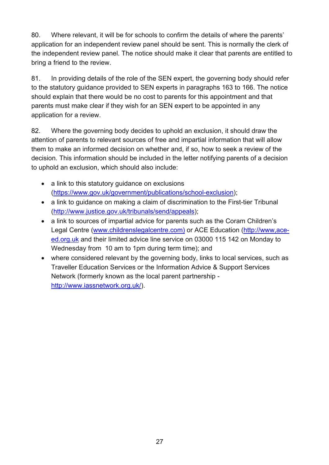80. Where relevant, it will be for schools to confirm the details of where the parents' application for an independent review panel should be sent. This is normally the clerk of the independent review panel. The notice should make it clear that parents are entitled to bring a friend to the review.

81. In providing details of the role of the SEN expert, the governing body should refer to the statutory guidance provided to SEN experts in paragraphs 163 to 166. The notice should explain that there would be no cost to parents for this appointment and that parents must make clear if they wish for an SEN expert to be appointed in any application for a review.

82. Where the governing body decides to uphold an exclusion, it should draw the attention of parents to relevant sources of free and impartial information that will allow them to make an informed decision on whether and, if so, how to seek a review of the decision. This information should be included in the letter notifying parents of a decision to uphold an exclusion, which should also include:

- a link to this statutory guidance on exclusions (https://www.gov.uk/government/publications/school-exclusion);
- a link to quidance on making a claim of discrimination to the First-tier Tribunal [\(http://www.justice.gov.uk/tribunals/send/appeals\)](http://www.justice.gov.uk/tribunals/send/appeals);
- a link to sources of impartial advice for parents such as the Coram Children's Legal Centre [\(www.childrenslegalcentre.com\)](http://www.childrenslegalcentre.com/) or ACE Education [\(http://www,ace](http://www,ace-ed.org.uk/)[ed.org.uk](http://www,ace-ed.org.uk/) and their limited advice line service on [03000 115 142](tel:03000%20115%20142) on Monday to Wednesday from 10 am to 1pm during term time); and
- where considered relevant by the governing body, links to local services, such as Traveller Education Services or the Information Advice & Support Services Network (formerly known as the local parent partnership http://www.iassnetwork.org.uk/).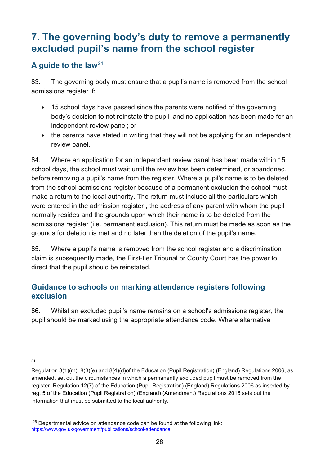# <span id="page-27-0"></span>**7. The governing body's duty to remove a permanently excluded pupil's name from the school register**

### **A guide to the law**[24](#page-27-2)

83. The governing body must ensure that a pupil's name is removed from the school admissions register if:

- 15 school days have passed since the parents were notified of the governing body's decision to not reinstate the pupil and no application has been made for an independent review panel; or
- the parents have stated in writing that they will not be applying for an independent review panel.

84. Where an application for an independent review panel has been made within 15 school days, the school must wait until the review has been determined, or abandoned, before removing a pupil's name from the register. Where a pupil's name is to be deleted from the school admissions register because of a permanent exclusion the school must make a return to the local authority. The return must include all the particulars which were entered in the admission register , the address of any parent with whom the pupil normally resides and the grounds upon which their name is to be deleted from the admissions register (i.e. permanent exclusion). This return must be made as soon as the grounds for deletion is met and no later than the deletion of the pupil's name.

85. Where a pupil's name is removed from the school register and a discrimination claim is subsequently made, the First-tier Tribunal or County Court has the power to direct that the pupil should be reinstated.

### <span id="page-27-1"></span>**Guidance to schools on marking attendance registers following exclusion**

86. Whilst an excluded pupil's name remains on a school's admissions register, the pupil should be marked using the appropriate attendance code. Where alternative

<span id="page-27-2"></span>24

Regulation 8(1)(m), 8(3)(e) and 8(4)(d)of the Education (Pupil Registration) (England) Regulations 2006, as amended, set out the circumstances in which a permanently excluded pupil must be removed from the register. Regulation 12(7) of the Education (Pupil Registration) (England) Regulations 2006 as inserted by [reg. 5 of the Education \(Pupil Registration\) \(England\) \(Amendment\) Regulations 2016](http://www.legislation.gov.uk/uksi/2016/792/regulation/5/made) sets out the information that must be submitted to the local authority.

<sup>&</sup>lt;sup>25</sup> Departmental advice on attendance code can be found at the following link: [https://www.gov.uk/government/publications/school-attendance.](https://www.gov.uk/government/publications/school-attendance)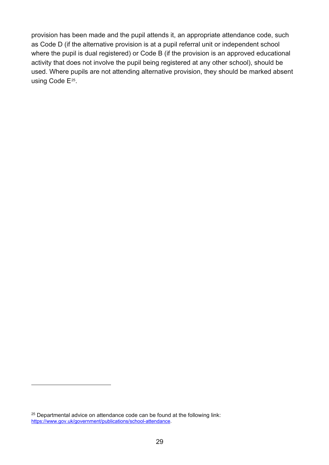provision has been made and the pupil attends it, an appropriate attendance code, such as Code D (if the alternative provision is at a pupil referral unit or independent school where the pupil is dual registered) or Code B (if the provision is an approved educational activity that does not involve the pupil being registered at any other school), should be used. Where pupils are not attending alternative provision, they should be marked absent using Code E<sup>[25](#page-28-0)</sup>.

<span id="page-28-0"></span> $25$  Departmental advice on attendance code can be found at the following link: [https://www.gov.uk/government/publications/school-attendance.](https://www.gov.uk/government/publications/school-attendance)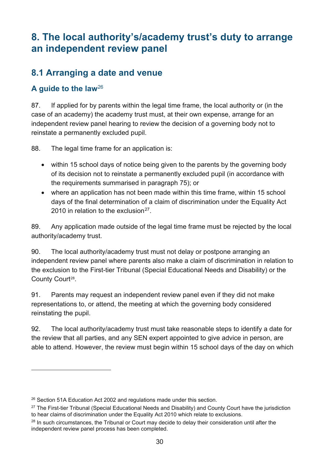# <span id="page-29-0"></span>**8. The local authority's/academy trust's duty to arrange an independent review panel**

# <span id="page-29-1"></span>**8.1 Arranging a date and venue**

### **A guide to the law**[26](#page-29-2)

 $\overline{a}$ 

87. If applied for by parents within the legal time frame, the local authority or (in the case of an academy) the academy trust must, at their own expense, arrange for an independent review panel hearing to review the decision of a governing body not to reinstate a permanently excluded pupil.

88. The legal time frame for an application is:

- within 15 school days of notice being given to the parents by the governing body of its decision not to reinstate a permanently excluded pupil (in accordance with the requirements summarised in paragraph 75); or
- where an application has not been made within this time frame, within 15 school days of the final determination of a claim of discrimination under the Equality Act 2010 in relation to the exclusion<sup>27</sup>

89. Any application made outside of the legal time frame must be rejected by the local authority/academy trust.

90. The local authority/academy trust must not delay or postpone arranging an independent review panel where parents also make a claim of discrimination in relation to the exclusion to the First-tier Tribunal (Special Educational Needs and Disability) or the County Court<sup>[28](#page-29-4)</sup>.

91. Parents may request an independent review panel even if they did not make representations to, or attend, the meeting at which the governing body considered reinstating the pupil.

92. The local authority/academy trust must take reasonable steps to identify a date for the review that all parties, and any SEN expert appointed to give advice in person, are able to attend. However, the review must begin within 15 school days of the day on which

<span id="page-29-2"></span><sup>&</sup>lt;sup>26</sup> Section 51A Education Act 2002 and regulations made under this section.

<span id="page-29-3"></span><sup>&</sup>lt;sup>27</sup> The First-tier Tribunal (Special Educational Needs and Disability) and County Court have the jurisdiction to hear claims of discrimination under the Equality Act 2010 which relate to exclusions.

<span id="page-29-4"></span><sup>&</sup>lt;sup>28</sup> In such circumstances, the Tribunal or Court may decide to delay their consideration until after the independent review panel process has been completed.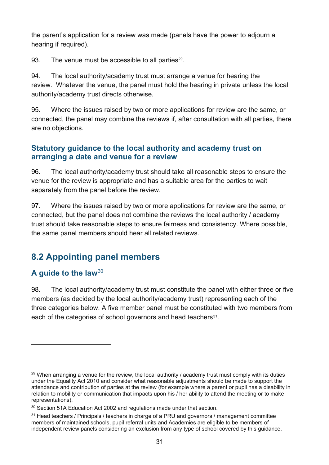the parent's application for a review was made (panels have the power to adjourn a hearing if required).

93. The venue must be accessible to all parties<sup>[29](#page-30-2)</sup>.

94. The local authority/academy trust must arrange a venue for hearing the review. Whatever the venue, the panel must hold the hearing in private unless the local authority/academy trust directs otherwise.

95. Where the issues raised by two or more applications for review are the same, or connected, the panel may combine the reviews if, after consultation with all parties, there are no objections.

### <span id="page-30-0"></span>**Statutory guidance to the local authority and academy trust on arranging a date and venue for a review**

96. The local authority/academy trust should take all reasonable steps to ensure the venue for the review is appropriate and has a suitable area for the parties to wait separately from the panel before the review.

97. Where the issues raised by two or more applications for review are the same, or connected, but the panel does not combine the reviews the local authority / academy trust should take reasonable steps to ensure fairness and consistency. Where possible, the same panel members should hear all related reviews.

# <span id="page-30-1"></span>**8.2 Appointing panel members**

### **A guide to the law**[30](#page-30-3)

 $\overline{a}$ 

98. The local authority/academy trust must constitute the panel with either three or five members (as decided by the local authority/academy trust) representing each of the three categories below. A five member panel must be constituted with two members from each of the categories of school governors and head teachers<sup>[31](#page-30-4)</sup>.

<span id="page-30-2"></span> $29$  When arranging a venue for the review, the local authority / academy trust must comply with its duties under the Equality Act 2010 and consider what reasonable adjustments should be made to support the attendance and contribution of parties at the review (for example where a parent or pupil has a disability in relation to mobility or communication that impacts upon his / her ability to attend the meeting or to make representations).

<span id="page-30-3"></span><sup>&</sup>lt;sup>30</sup> Section 51A Education Act 2002 and regulations made under that section.

<span id="page-30-4"></span><sup>&</sup>lt;sup>31</sup> Head teachers / Principals / teachers in charge of a PRU and governors / management committee members of maintained schools, pupil referral units and Academies are eligible to be members of independent review panels considering an exclusion from any type of school covered by this guidance.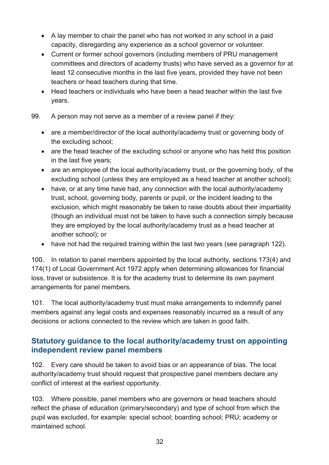- A lay member to chair the panel who has not worked in any school in a paid capacity, disregarding any experience as a school governor or volunteer.
- Current or former school governors (including members of PRU management committees and directors of academy trusts) who have served as a governor for at least 12 consecutive months in the last five years, provided they have not been teachers or head teachers during that time.
- Head teachers or individuals who have been a head teacher within the last five years.
- 99. A person may not serve as a member of a review panel if they:
	- are a member/director of the local authority/academy trust or governing body of the excluding school;
	- are the head teacher of the excluding school or anyone who has held this position in the last five years;
	- are an employee of the local authority/academy trust, or the governing body, of the excluding school (unless they are employed as a head teacher at another school);
	- have, or at any time have had, any connection with the local authority/academy trust, school, governing body, parents or pupil, or the incident leading to the exclusion, which might reasonably be taken to raise doubts about their impartiality (though an individual must not be taken to have such a connection simply because they are employed by the local authority/academy trust as a head teacher at another school); or
	- have not had the required training within the last two years (see paragraph 122).

100. In relation to panel members appointed by the local authority, sections 173(4) and 174(1) of Local Government Act 1972 apply when determining allowances for financial loss, travel or subsistence. It is for the academy trust to determine its own payment arrangements for panel members.

101. The local authority/academy trust must make arrangements to indemnify panel members against any legal costs and expenses reasonably incurred as a result of any decisions or actions connected to the review which are taken in good faith.

### <span id="page-31-0"></span>**Statutory guidance to the local authority/academy trust on appointing independent review panel members**

102. Every care should be taken to avoid bias or an appearance of bias. The local authority/academy trust should request that prospective panel members declare any conflict of interest at the earliest opportunity.

103. Where possible, panel members who are governors or head teachers should reflect the phase of education (primary/secondary) and type of school from which the pupil was excluded, for example: special school; boarding school; PRU; academy or maintained school.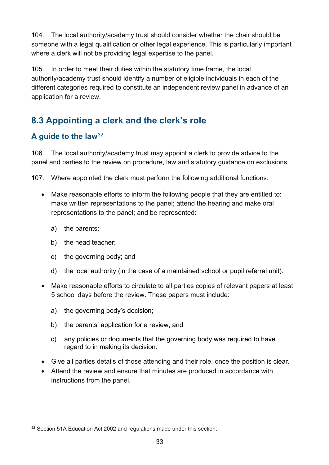104. The local authority/academy trust should consider whether the chair should be someone with a legal qualification or other legal experience. This is particularly important where a clerk will not be providing legal expertise to the panel.

105. In order to meet their duties within the statutory time frame, the local authority/academy trust should identify a number of eligible individuals in each of the different categories required to constitute an independent review panel in advance of an application for a review.

# <span id="page-32-0"></span>**8.3 Appointing a clerk and the clerk's role**

### **A guide to the law**[32](#page-32-1)

106. The local authority/academy trust may appoint a clerk to provide advice to the panel and parties to the review on procedure, law and statutory guidance on exclusions.

107. Where appointed the clerk must perform the following additional functions:

- Make reasonable efforts to inform the following people that they are entitled to: make written representations to the panel; attend the hearing and make oral representations to the panel; and be represented:
	- a) the parents;

- b) the head teacher;
- c) the governing body; and
- d) the local authority (in the case of a maintained school or pupil referral unit).
- Make reasonable efforts to circulate to all parties copies of relevant papers at least 5 school days before the review. These papers must include:
	- a) the governing body's decision;
	- b) the parents' application for a review; and
	- c) any policies or documents that the governing body was required to have regard to in making its decision.
- Give all parties details of those attending and their role, once the position is clear.
- Attend the review and ensure that minutes are produced in accordance with instructions from the panel.

<span id="page-32-1"></span><sup>&</sup>lt;sup>32</sup> Section 51A Education Act 2002 and regulations made under this section.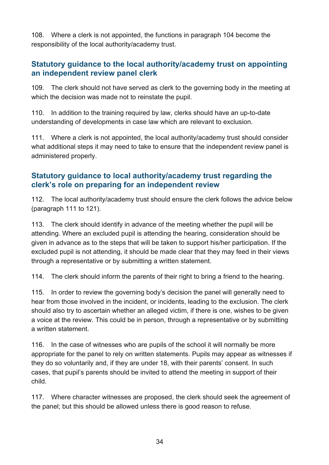108. Where a clerk is not appointed, the functions in paragraph 104 become the responsibility of the local authority/academy trust.

### <span id="page-33-0"></span>**Statutory guidance to the local authority/academy trust on appointing an independent review panel clerk**

109. The clerk should not have served as clerk to the governing body in the meeting at which the decision was made not to reinstate the pupil.

110. In addition to the training required by law, clerks should have an up-to-date understanding of developments in case law which are relevant to exclusion.

111. Where a clerk is not appointed, the local authority/academy trust should consider what additional steps it may need to take to ensure that the independent review panel is administered properly.

### <span id="page-33-1"></span>**Statutory guidance to local authority/academy trust regarding the clerk's role on preparing for an independent review**

112. The local authority/academy trust should ensure the clerk follows the advice below (paragraph 111 to 121).

113. The clerk should identify in advance of the meeting whether the pupil will be attending. Where an excluded pupil is attending the hearing, consideration should be given in advance as to the steps that will be taken to support his/her participation. If the excluded pupil is not attending, it should be made clear that they may feed in their views through a representative or by submitting a written statement.

114. The clerk should inform the parents of their right to bring a friend to the hearing.

115. In order to review the governing body's decision the panel will generally need to hear from those involved in the incident, or incidents, leading to the exclusion. The clerk should also try to ascertain whether an alleged victim, if there is one, wishes to be given a voice at the review. This could be in person, through a representative or by submitting a written statement.

116. In the case of witnesses who are pupils of the school it will normally be more appropriate for the panel to rely on written statements. Pupils may appear as witnesses if they do so voluntarily and, if they are under 18, with their parents' consent. In such cases, that pupil's parents should be invited to attend the meeting in support of their child.

117. Where character witnesses are proposed, the clerk should seek the agreement of the panel; but this should be allowed unless there is good reason to refuse.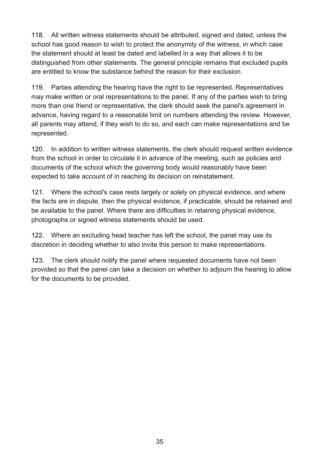118. All written witness statements should be attributed, signed and dated, unless the school has good reason to wish to protect the anonymity of the witness, in which case the statement should at least be dated and labelled in a way that allows it to be distinguished from other statements. The general principle remains that excluded pupils are entitled to know the substance behind the reason for their exclusion.

119. Parties attending the hearing have the right to be represented. Representatives may make written or oral representations to the panel. If any of the parties wish to bring more than one friend or representative, the clerk should seek the panel's agreement in advance, having regard to a reasonable limit on numbers attending the review. However, all parents may attend, if they wish to do so, and each can make representations and be represented.

120. In addition to written witness statements, the clerk should request written evidence from the school in order to circulate it in advance of the meeting, such as policies and documents of the school which the governing body would reasonably have been expected to take account of in reaching its decision on reinstatement.

121. Where the school's case rests largely or solely on physical evidence, and where the facts are in dispute, then the physical evidence, if practicable, should be retained and be available to the panel. Where there are difficulties in retaining physical evidence, photographs or signed witness statements should be used.

122. Where an excluding head teacher has left the school, the panel may use its discretion in deciding whether to also invite this person to make representations.

123. The clerk should notify the panel where requested documents have not been provided so that the panel can take a decision on whether to adjourn the hearing to allow for the documents to be provided.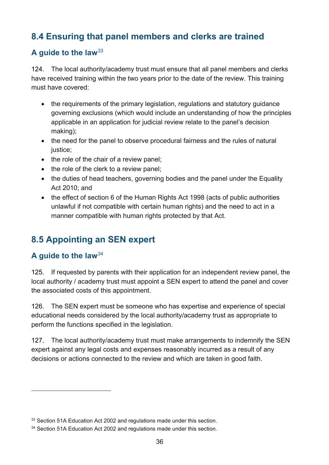# <span id="page-35-0"></span>**8.4 Ensuring that panel members and clerks are trained**

### **A guide to the law**[33](#page-35-2)

124. The local authority/academy trust must ensure that all panel members and clerks have received training within the two years prior to the date of the review. This training must have covered:

- the requirements of the primary legislation, regulations and statutory guidance governing exclusions (which would include an understanding of how the principles applicable in an application for judicial review relate to the panel's decision making);
- the need for the panel to observe procedural fairness and the rules of natural justice;
- the role of the chair of a review panel;
- the role of the clerk to a review panel;
- the duties of head teachers, governing bodies and the panel under the Equality Act 2010; and
- the effect of section 6 of the Human Rights Act 1998 (acts of public authorities unlawful if not compatible with certain human rights) and the need to act in a manner compatible with human rights protected by that Act.

# <span id="page-35-1"></span>**8.5 Appointing an SEN expert**

### **A guide to the law**[34](#page-35-3)

 $\overline{a}$ 

125. If requested by parents with their application for an independent review panel, the local authority / academy trust must appoint a SEN expert to attend the panel and cover the associated costs of this appointment.

126. The SEN expert must be someone who has expertise and experience of special educational needs considered by the local authority/academy trust as appropriate to perform the functions specified in the legislation.

127. The local authority/academy trust must make arrangements to indemnify the SEN expert against any legal costs and expenses reasonably incurred as a result of any decisions or actions connected to the review and which are taken in good faith.

<span id="page-35-2"></span><sup>&</sup>lt;sup>33</sup> Section 51A Education Act 2002 and regulations made under this section.

<span id="page-35-3"></span><sup>&</sup>lt;sup>34</sup> Section 51A Education Act 2002 and regulations made under this section.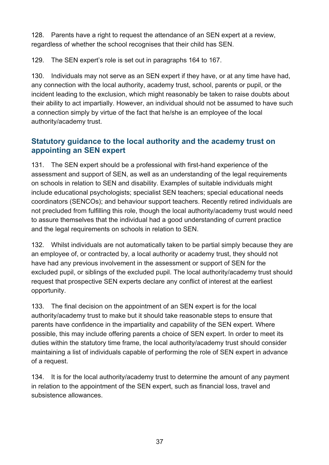128. Parents have a right to request the attendance of an SEN expert at a review. regardless of whether the school recognises that their child has SEN.

129. The SEN expert's role is set out in paragraphs 164 to 167.

130. Individuals may not serve as an SEN expert if they have, or at any time have had, any connection with the local authority, academy trust, school, parents or pupil, or the incident leading to the exclusion, which might reasonably be taken to raise doubts about their ability to act impartially. However, an individual should not be assumed to have such a connection simply by virtue of the fact that he/she is an employee of the local authority/academy trust.

### <span id="page-36-0"></span>**Statutory guidance to the local authority and the academy trust on appointing an SEN expert**

131. The SEN expert should be a professional with first-hand experience of the assessment and support of SEN, as well as an understanding of the legal requirements on schools in relation to SEN and disability. Examples of suitable individuals might include educational psychologists; specialist SEN teachers; special educational needs coordinators (SENCOs); and behaviour support teachers. Recently retired individuals are not precluded from fulfilling this role, though the local authority/academy trust would need to assure themselves that the individual had a good understanding of current practice and the legal requirements on schools in relation to SEN.

132. Whilst individuals are not automatically taken to be partial simply because they are an employee of, or contracted by, a local authority or academy trust, they should not have had any previous involvement in the assessment or support of SEN for the excluded pupil, or siblings of the excluded pupil. The local authority/academy trust should request that prospective SEN experts declare any conflict of interest at the earliest opportunity.

133. The final decision on the appointment of an SEN expert is for the local authority/academy trust to make but it should take reasonable steps to ensure that parents have confidence in the impartiality and capability of the SEN expert. Where possible, this may include offering parents a choice of SEN expert. In order to meet its duties within the statutory time frame, the local authority/academy trust should consider maintaining a list of individuals capable of performing the role of SEN expert in advance of a request.

134. It is for the local authority/academy trust to determine the amount of any payment in relation to the appointment of the SEN expert, such as financial loss, travel and subsistence allowances.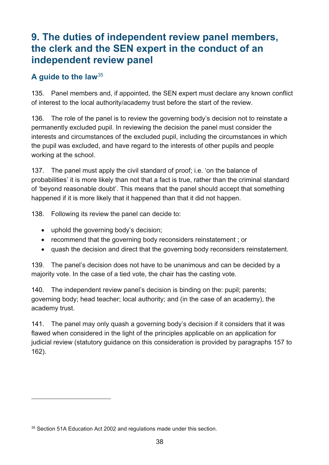# <span id="page-37-0"></span>**9. The duties of independent review panel members, the clerk and the SEN expert in the conduct of an independent review panel**

### **A guide to the law**[35](#page-37-1)

135. Panel members and, if appointed, the SEN expert must declare any known conflict of interest to the local authority/academy trust before the start of the review.

136. The role of the panel is to review the governing body's decision not to reinstate a permanently excluded pupil. In reviewing the decision the panel must consider the interests and circumstances of the excluded pupil, including the circumstances in which the pupil was excluded, and have regard to the interests of other pupils and people working at the school.

137. The panel must apply the civil standard of proof; i.e. 'on the balance of probabilities' it is more likely than not that a fact is true, rather than the criminal standard of 'beyond reasonable doubt'. This means that the panel should accept that something happened if it is more likely that it happened than that it did not happen.

138. Following its review the panel can decide to:

- uphold the governing body's decision;
- recommend that the governing body reconsiders reinstatement ; or
- quash the decision and direct that the governing body reconsiders reinstatement.

139. The panel's decision does not have to be unanimous and can be decided by a majority vote. In the case of a tied vote, the chair has the casting vote.

140. The independent review panel's decision is binding on the: pupil; parents; governing body; head teacher; local authority; and (in the case of an academy), the academy trust.

141. The panel may only quash a governing body's decision if it considers that it was flawed when considered in the light of the principles applicable on an application for judicial review (statutory guidance on this consideration is provided by paragraphs 157 to 162).

<span id="page-37-1"></span><sup>&</sup>lt;sup>35</sup> Section 51A Education Act 2002 and regulations made under this section.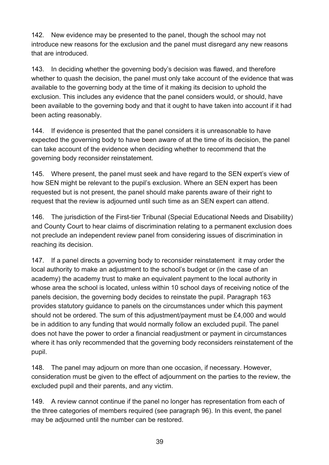142. New evidence may be presented to the panel, though the school may not introduce new reasons for the exclusion and the panel must disregard any new reasons that are introduced.

143. In deciding whether the governing body's decision was flawed, and therefore whether to quash the decision, the panel must only take account of the evidence that was available to the governing body at the time of it making its decision to uphold the exclusion. This includes any evidence that the panel considers would, or should, have been available to the governing body and that it ought to have taken into account if it had been acting reasonably.

144. If evidence is presented that the panel considers it is unreasonable to have expected the governing body to have been aware of at the time of its decision, the panel can take account of the evidence when deciding whether to recommend that the governing body reconsider reinstatement.

145. Where present, the panel must seek and have regard to the SEN expert's view of how SEN might be relevant to the pupil's exclusion. Where an SEN expert has been requested but is not present, the panel should make parents aware of their right to request that the review is adjourned until such time as an SEN expert can attend.

146. The jurisdiction of the First-tier Tribunal (Special Educational Needs and Disability) and County Court to hear claims of discrimination relating to a permanent exclusion does not preclude an independent review panel from considering issues of discrimination in reaching its decision.

147. If a panel directs a governing body to reconsider reinstatement it may order the local authority to make an adjustment to the school's budget or (in the case of an academy) the academy trust to make an equivalent payment to the local authority in whose area the school is located, unless within 10 school days of receiving notice of the panels decision, the governing body decides to reinstate the pupil. Paragraph 163 provides statutory guidance to panels on the circumstances under which this payment should not be ordered. The sum of this adjustment/payment must be £4,000 and would be in addition to any funding that would normally follow an excluded pupil. The panel does not have the power to order a financial readjustment or payment in circumstances where it has only recommended that the governing body reconsiders reinstatement of the pupil.

148. The panel may adjourn on more than one occasion, if necessary. However, consideration must be given to the effect of adjournment on the parties to the review, the excluded pupil and their parents, and any victim.

149. A review cannot continue if the panel no longer has representation from each of the three categories of members required (see paragraph 96). In this event, the panel may be adjourned until the number can be restored.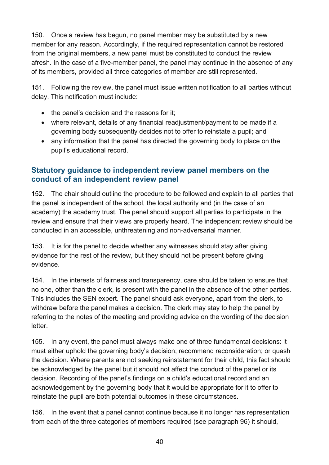150. Once a review has begun, no panel member may be substituted by a new member for any reason. Accordingly, if the required representation cannot be restored from the original members, a new panel must be constituted to conduct the review afresh. In the case of a five-member panel, the panel may continue in the absence of any of its members, provided all three categories of member are still represented.

151. Following the review, the panel must issue written notification to all parties without delay. This notification must include:

- the panel's decision and the reasons for it;
- where relevant, details of any financial readjustment/payment to be made if a governing body subsequently decides not to offer to reinstate a pupil; and
- any information that the panel has directed the governing body to place on the pupil's educational record.

### <span id="page-39-0"></span>**Statutory guidance to independent review panel members on the conduct of an independent review panel**

152. The chair should outline the procedure to be followed and explain to all parties that the panel is independent of the school, the local authority and (in the case of an academy) the academy trust. The panel should support all parties to participate in the review and ensure that their views are properly heard. The independent review should be conducted in an accessible, unthreatening and non-adversarial manner.

153. It is for the panel to decide whether any witnesses should stay after giving evidence for the rest of the review, but they should not be present before giving evidence.

154. In the interests of fairness and transparency, care should be taken to ensure that no one, other than the clerk, is present with the panel in the absence of the other parties. This includes the SEN expert. The panel should ask everyone, apart from the clerk, to withdraw before the panel makes a decision. The clerk may stay to help the panel by referring to the notes of the meeting and providing advice on the wording of the decision letter.

155. In any event, the panel must always make one of three fundamental decisions: it must either uphold the governing body's decision; recommend reconsideration; or quash the decision. Where parents are not seeking reinstatement for their child, this fact should be acknowledged by the panel but it should not affect the conduct of the panel or its decision. Recording of the panel's findings on a child's educational record and an acknowledgement by the governing body that it would be appropriate for it to offer to reinstate the pupil are both potential outcomes in these circumstances.

156. In the event that a panel cannot continue because it no longer has representation from each of the three categories of members required (see paragraph 96) it should,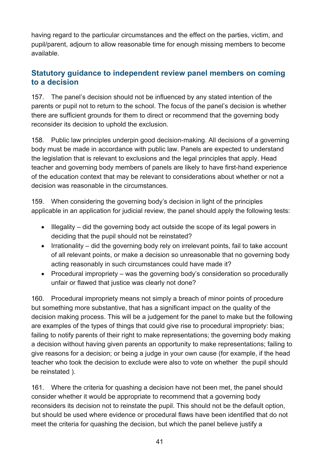having regard to the particular circumstances and the effect on the parties, victim, and pupil/parent, adjourn to allow reasonable time for enough missing members to become available.

### <span id="page-40-0"></span>**Statutory guidance to independent review panel members on coming to a decision**

157. The panel's decision should not be influenced by any stated intention of the parents or pupil not to return to the school. The focus of the panel's decision is whether there are sufficient grounds for them to direct or recommend that the governing body reconsider its decision to uphold the exclusion.

158. Public law principles underpin good decision-making. All decisions of a governing body must be made in accordance with public law. Panels are expected to understand the legislation that is relevant to exclusions and the legal principles that apply. Head teacher and governing body members of panels are likely to have first-hand experience of the education context that may be relevant to considerations about whether or not a decision was reasonable in the circumstances.

159. When considering the governing body's decision in light of the principles applicable in an application for judicial review, the panel should apply the following tests:

- Illegality did the governing body act outside the scope of its legal powers in deciding that the pupil should not be reinstated?
- Irrationality did the governing body rely on irrelevant points, fail to take account of all relevant points, or make a decision so unreasonable that no governing body acting reasonably in such circumstances could have made it?
- Procedural impropriety was the governing body's consideration so procedurally unfair or flawed that justice was clearly not done?

160. Procedural impropriety means not simply a breach of minor points of procedure but something more substantive, that has a significant impact on the quality of the decision making process. This will be a judgement for the panel to make but the following are examples of the types of things that could give rise to procedural impropriety: bias; failing to notify parents of their right to make representations; the governing body making a decision without having given parents an opportunity to make representations; failing to give reasons for a decision; or being a judge in your own cause (for example, if the head teacher who took the decision to exclude were also to vote on whether the pupil should be reinstated ).

161. Where the criteria for quashing a decision have not been met, the panel should consider whether it would be appropriate to recommend that a governing body reconsiders its decision not to reinstate the pupil. This should not be the default option, but should be used where evidence or procedural flaws have been identified that do not meet the criteria for quashing the decision, but which the panel believe justify a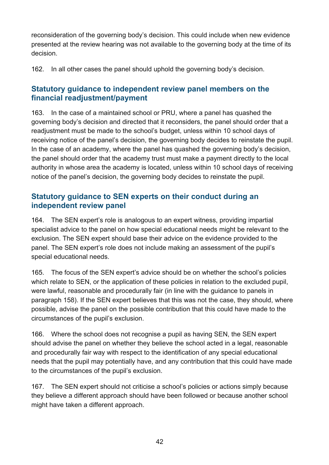reconsideration of the governing body's decision. This could include when new evidence presented at the review hearing was not available to the governing body at the time of its decision.

162. In all other cases the panel should uphold the governing body's decision.

### <span id="page-41-0"></span>**Statutory guidance to independent review panel members on the financial readjustment/payment**

163. In the case of a maintained school or PRU, where a panel has quashed the governing body's decision and directed that it reconsiders, the panel should order that a readjustment must be made to the school's budget, unless within 10 school days of receiving notice of the panel's decision, the governing body decides to reinstate the pupil. In the case of an academy, where the panel has quashed the governing body's decision, the panel should order that the academy trust must make a payment directly to the local authority in whose area the academy is located, unless within 10 school days of receiving notice of the panel's decision, the governing body decides to reinstate the pupil.

### <span id="page-41-1"></span>**Statutory guidance to SEN experts on their conduct during an independent review panel**

164. The SEN expert's role is analogous to an expert witness, providing impartial specialist advice to the panel on how special educational needs might be relevant to the exclusion. The SEN expert should base their advice on the evidence provided to the panel. The SEN expert's role does not include making an assessment of the pupil's special educational needs.

165. The focus of the SEN expert's advice should be on whether the school's policies which relate to SEN, or the application of these policies in relation to the excluded pupil, were lawful, reasonable and procedurally fair (in line with the guidance to panels in paragraph 158). If the SEN expert believes that this was not the case, they should, where possible, advise the panel on the possible contribution that this could have made to the circumstances of the pupil's exclusion.

166. Where the school does not recognise a pupil as having SEN, the SEN expert should advise the panel on whether they believe the school acted in a legal, reasonable and procedurally fair way with respect to the identification of any special educational needs that the pupil may potentially have, and any contribution that this could have made to the circumstances of the pupil's exclusion.

167. The SEN expert should not criticise a school's policies or actions simply because they believe a different approach should have been followed or because another school might have taken a different approach.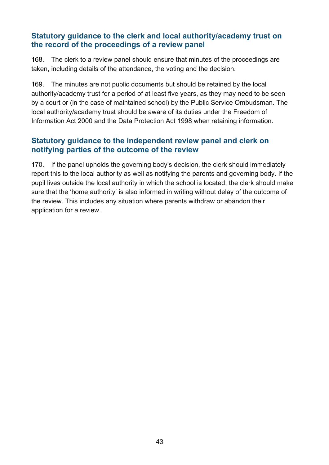### <span id="page-42-0"></span>**Statutory guidance to the clerk and local authority/academy trust on the record of the proceedings of a review panel**

168. The clerk to a review panel should ensure that minutes of the proceedings are taken, including details of the attendance, the voting and the decision.

169. The minutes are not public documents but should be retained by the local authority/academy trust for a period of at least five years, as they may need to be seen by a court or (in the case of maintained school) by the Public Service Ombudsman. The local authority/academy trust should be aware of its duties under the Freedom of Information Act 2000 and the Data Protection Act 1998 when retaining information.

### <span id="page-42-1"></span>**Statutory guidance to the independent review panel and clerk on notifying parties of the outcome of the review**

170. If the panel upholds the governing body's decision, the clerk should immediately report this to the local authority as well as notifying the parents and governing body. If the pupil lives outside the local authority in which the school is located, the clerk should make sure that the 'home authority' is also informed in writing without delay of the outcome of the review. This includes any situation where parents withdraw or abandon their application for a review.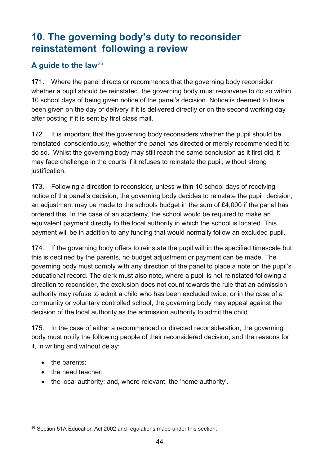# <span id="page-43-0"></span>**10. The governing body's duty to reconsider reinstatement following a review**

### **A guide to the law**[36](#page-43-1)

171. Where the panel directs or recommends that the governing body reconsider whether a pupil should be reinstated, the governing body must reconvene to do so within 10 school days of being given notice of the panel's decision. Notice is deemed to have been given on the day of delivery if it is delivered directly or on the second working day after posting if it is sent by first class mail.

172. It is important that the governing body reconsiders whether the pupil should be reinstated conscientiously, whether the panel has directed or merely recommended it to do so. Whilst the governing body may still reach the same conclusion as it first did, it may face challenge in the courts if it refuses to reinstate the pupil, without strong justification.

173. Following a direction to reconsider, unless within 10 school days of receiving notice of the panel's decision, the governing body decides to reinstate the pupil decision; an adjustment may be made to the schools budget in the sum of £4,000 if the panel has ordered this. In the case of an academy, the school would be required to make an equivalent payment directly to the local authority in which the school is located. This payment will be in addition to any funding that would normally follow an excluded pupil.

174. If the governing body offers to reinstate the pupil within the specified timescale but this is declined by the parents, no budget adjustment or payment can be made. The governing body must comply with any direction of the panel to place a note on the pupil's educational record. The clerk must also note, where a pupil is not reinstated following a direction to reconsider, the exclusion does not count towards the rule that an admission authority may refuse to admit a child who has been excluded twice; or in the case of a community or voluntary controlled school, the governing body may appeal against the decision of the local authority as the admission authority to admit the child.

175. In the case of either a recommended or directed reconsideration, the governing body must notify the following people of their reconsidered decision, and the reasons for it, in writing and without delay:

• the parents;

- the head teacher:
- the local authority; and, where relevant, the 'home authority'.

<span id="page-43-1"></span><sup>&</sup>lt;sup>36</sup> Section 51A Education Act 2002 and regulations made under this section.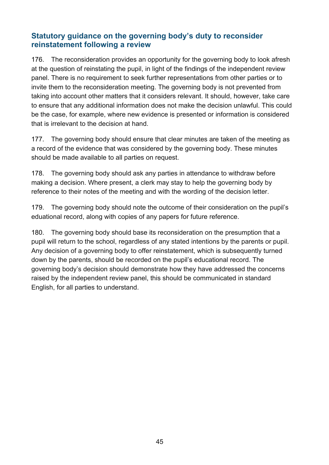### <span id="page-44-0"></span>**Statutory guidance on the governing body's duty to reconsider reinstatement following a review**

176. The reconsideration provides an opportunity for the governing body to look afresh at the question of reinstating the pupil, in light of the findings of the independent review panel. There is no requirement to seek further representations from other parties or to invite them to the reconsideration meeting. The governing body is not prevented from taking into account other matters that it considers relevant. It should, however, take care to ensure that any additional information does not make the decision unlawful. This could be the case, for example, where new evidence is presented or information is considered that is irrelevant to the decision at hand.

177. The governing body should ensure that clear minutes are taken of the meeting as a record of the evidence that was considered by the governing body. These minutes should be made available to all parties on request.

178. The governing body should ask any parties in attendance to withdraw before making a decision. Where present, a clerk may stay to help the governing body by reference to their notes of the meeting and with the wording of the decision letter.

179. The governing body should note the outcome of their consideration on the pupil's eduational record, along with copies of any papers for future reference.

180. The governing body should base its reconsideration on the presumption that a pupil will return to the school, regardless of any stated intentions by the parents or pupil. Any decision of a governing body to offer reinstatement, which is subsequently turned down by the parents, should be recorded on the pupil's educational record. The governing body's decision should demonstrate how they have addressed the concerns raised by the independent review panel, this should be communicated in standard English, for all parties to understand.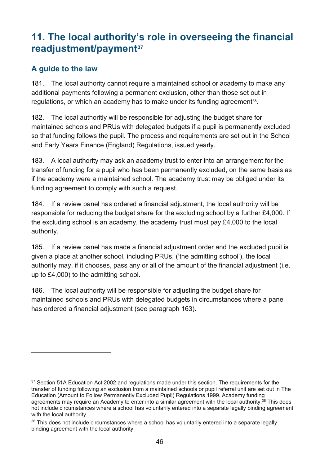# <span id="page-45-0"></span>**11. The local authority's role in overseeing the financial readjustment/payment[37](#page-45-2)**

### <span id="page-45-1"></span>**A guide to the law**

 $\overline{a}$ 

181. The local authority cannot require a maintained school or academy to make any additional payments following a permanent exclusion, other than those set out in regulations, or which an academy has to make under its funding agreement<sup>38</sup>.

182. The local authoritiy will be responsible for adjusting the budget share for maintained schools and PRUs with delegated budgets if a pupil is permanently excluded so that funding follows the pupil. The process and requirements are set out in the School and Early Years Finance (England) Regulations, issued yearly.

183. A local authority may ask an academy trust to enter into an arrangement for the transfer of funding for a pupil who has been permanently excluded, on the same basis as if the academy were a maintained school. The academy trust may be obliged under its funding agreement to comply with such a request.

184. If a review panel has ordered a financial adjustment, the local authority will be responsible for reducing the budget share for the excluding school by a further £4,000. If the excluding school is an academy, the academy trust must pay £4,000 to the local authority.

185. If a review panel has made a financial adjustment order and the excluded pupil is given a place at another school, including PRUs, ('the admitting school'), the local authority may, if it chooses, pass any or all of the amount of the financial adjustment (i.e. up to £4,000) to the admitting school.

186. The local authority will be responsible for adjusting the budget share for maintained schools and PRUs with delegated budgets in circumstances where a panel has ordered a financial adjustment (see paragraph 163).

<span id="page-45-2"></span><sup>&</sup>lt;sup>37</sup> Section 51A Education Act 2002 and regulations made under this section. The requirements for the transfer of funding following an exclusion from a maintained schools or pupil referral unit are set out in The Education (Amount to Follow Permanently Excluded Pupil) Regulations 1999. Academy funding agreements may require an Academy to enter into a similar agreement with the local authority.<sup>38</sup> This does not include circumstances where a school has voluntarily entered into a separate legally binding agreement with the local authority.

<span id="page-45-3"></span><sup>&</sup>lt;sup>38</sup> This does not include circumstances where a school has voluntarily entered into a separate legally binding agreement with the local authority.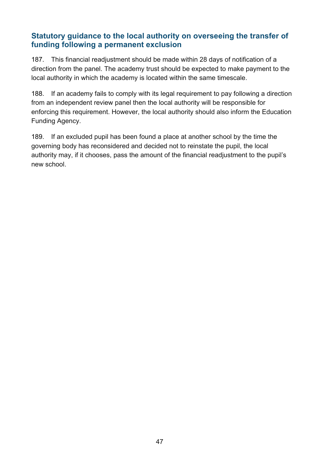### <span id="page-46-0"></span>**Statutory guidance to the local authority on overseeing the transfer of funding following a permanent exclusion**

187. This financial readjustment should be made within 28 days of notification of a direction from the panel. The academy trust should be expected to make payment to the local authority in which the academy is located within the same timescale.

188. If an academy fails to comply with its legal requirement to pay following a direction from an independent review panel then the local authority will be responsible for enforcing this requirement. However, the local authority should also inform the Education Funding Agency.

189. If an excluded pupil has been found a place at another school by the time the governing body has reconsidered and decided not to reinstate the pupil, the local authority may, if it chooses, pass the amount of the financial readjustment to the pupil's new school.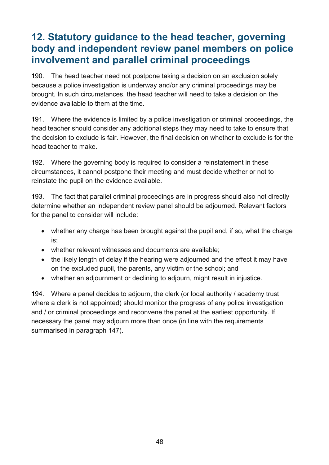# <span id="page-47-0"></span>**12. Statutory guidance to the head teacher, governing body and independent review panel members on police involvement and parallel criminal proceedings**

190. The head teacher need not postpone taking a decision on an exclusion solely because a police investigation is underway and/or any criminal proceedings may be brought. In such circumstances, the head teacher will need to take a decision on the evidence available to them at the time.

191. Where the evidence is limited by a police investigation or criminal proceedings, the head teacher should consider any additional steps they may need to take to ensure that the decision to exclude is fair. However, the final decision on whether to exclude is for the head teacher to make.

192. Where the governing body is required to consider a reinstatement in these circumstances, it cannot postpone their meeting and must decide whether or not to reinstate the pupil on the evidence available.

193. The fact that parallel criminal proceedings are in progress should also not directly determine whether an independent review panel should be adjourned. Relevant factors for the panel to consider will include:

- whether any charge has been brought against the pupil and, if so, what the charge is;
- whether relevant witnesses and documents are available;
- the likely length of delay if the hearing were adjourned and the effect it may have on the excluded pupil, the parents, any victim or the school; and
- whether an adjournment or declining to adjourn, might result in injustice.

194. Where a panel decides to adjourn, the clerk (or local authority / academy trust where a clerk is not appointed) should monitor the progress of any police investigation and / or criminal proceedings and reconvene the panel at the earliest opportunity. If necessary the panel may adjourn more than once (in line with the requirements summarised in paragraph 147).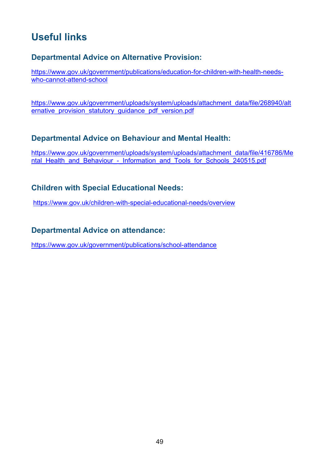# <span id="page-48-0"></span>**Useful links**

### **Departmental Advice on Alternative Provision:**

[https://www.gov.uk/government/publications/education-for-children-with-health-needs](https://www.gov.uk/government/publications/education-for-children-with-health-needs-who-cannot-attend-school)[who-cannot-attend-school](https://www.gov.uk/government/publications/education-for-children-with-health-needs-who-cannot-attend-school)

[https://www.gov.uk/government/uploads/system/uploads/attachment\\_data/file/268940/alt](https://www.gov.uk/government/uploads/system/uploads/attachment_data/file/268940/alternative_provision_statutory_guidance_pdf_version.pdf) ernative\_provision\_statutory\_quidance\_pdf\_version.pdf

### **Departmental Advice on Behaviour and Mental Health:**

[https://www.gov.uk/government/uploads/system/uploads/attachment\\_data/file/416786/Me](https://www.gov.uk/government/uploads/system/uploads/attachment_data/file/416786/Mental_Health_and_Behaviour_-_Information_and_Tools_for_Schools_240515.pdf) ntal Health and Behaviour - Information and Tools for Schools 240515.pdf

### **Children with Special Educational Needs:**

<https://www.gov.uk/children-with-special-educational-needs/overview>

### **Departmental Advice on attendance:**

<https://www.gov.uk/government/publications/school-attendance>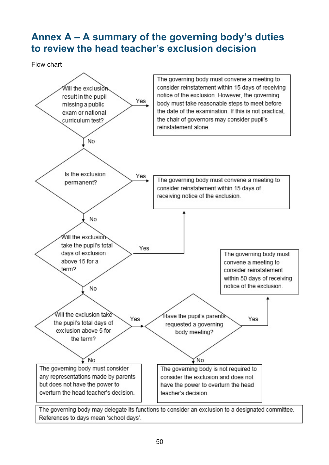# <span id="page-49-0"></span>**Annex A – A summary of the governing body's duties to review the head teacher's exclusion decision**

Flow chart

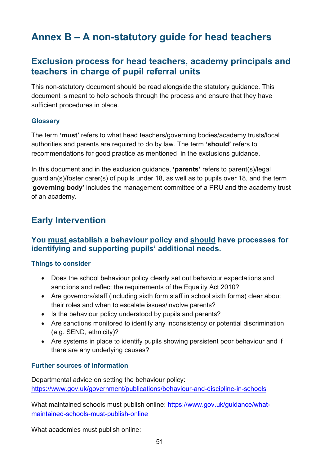# <span id="page-50-0"></span>**Annex B – A non-statutory guide for head teachers**

# **Exclusion process for head teachers, academy principals and teachers in charge of pupil referral units**

This non-statutory document should be read alongside the statutory guidance. This document is meant to help schools through the process and ensure that they have sufficient procedures in place.

#### **Glossary**

The term **'must'** refers to what head teachers/governing bodies/academy trusts/local authorities and parents are required to do by law. The term **'should'** refers to recommendations for good practice as mentioned in the exclusions guidance.

In this document and in the exclusion guidance, **'parents'** refers to parent(s)/legal guardian(s)/foster carer(s) of pupils under 18, as well as to pupils over 18, and the term '**governing body'** includes the management committee of a PRU and the academy trust of an academy.

# **Early Intervention**

### **You must establish a behaviour policy and should have processes for identifying and supporting pupils' additional needs.**

### **Things to consider**

- Does the school behaviour policy clearly set out behaviour expectations and sanctions and reflect the requirements of the Equality Act 2010?
- Are governors/staff (including sixth form staff in school sixth forms) clear about their roles and when to escalate issues/involve parents?
- Is the behaviour policy understood by pupils and parents?
- Are sanctions monitored to identify any inconsistency or potential discrimination (e.g. SEND, ethnicity)?
- Are systems in place to identify pupils showing persistent poor behaviour and if there are any underlying causes?

### **Further sources of information**

Departmental advice on setting the behaviour policy: <https://www.gov.uk/government/publications/behaviour-and-discipline-in-schools>

What maintained schools must publish online: [https://www.gov.uk/guidance/what](https://www.gov.uk/guidance/what-maintained-schools-must-publish-online)[maintained-schools-must-publish-online](https://www.gov.uk/guidance/what-maintained-schools-must-publish-online)

What academies must publish online: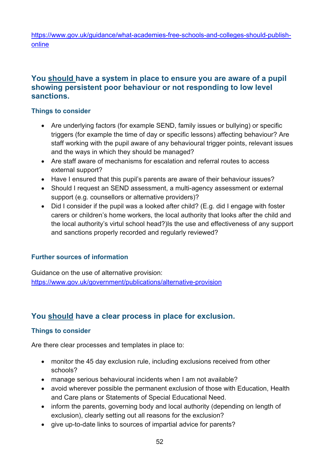[https://www.gov.uk/guidance/what-academies-free-schools-and-colleges-should-publish](https://www.gov.uk/guidance/what-academies-free-schools-and-colleges-should-publish-online)[online](https://www.gov.uk/guidance/what-academies-free-schools-and-colleges-should-publish-online)

### **You should have a system in place to ensure you are aware of a pupil showing persistent poor behaviour or not responding to low level sanctions.**

#### **Things to consider**

- Are underlying factors (for example SEND, family issues or bullying) or specific triggers (for example the time of day or specific lessons) affecting behaviour? Are staff working with the pupil aware of any behavioural trigger points, relevant issues and the ways in which they should be managed?
- Are staff aware of mechanisms for escalation and referral routes to access external support?
- Have I ensured that this pupil's parents are aware of their behaviour issues?
- Should I request an SEND assessment, a multi-agency assessment or external support (e.g. counsellors or alternative providers)?
- Did I consider if the pupil was a looked after child? (E.g. did I engage with foster carers or children's home workers, the local authority that looks after the child and the local authority's virtul school head?)Is the use and effectiveness of any support and sanctions properly recorded and regularly reviewed?

### **Further sources of information**

Guidance on the use of alternative provision: <https://www.gov.uk/government/publications/alternative-provision>

### **You should have a clear process in place for exclusion.**

### **Things to consider**

Are there clear processes and templates in place to:

- monitor the 45 day exclusion rule, including exclusions received from other schools?
- manage serious behavioural incidents when I am not available?
- avoid wherever possible the permanent exclusion of those with Education, Health and Care plans or Statements of Special Educational Need.
- inform the parents, governing body and local authority (depending on length of exclusion), clearly setting out all reasons for the exclusion?
- give up-to-date links to sources of impartial advice for parents?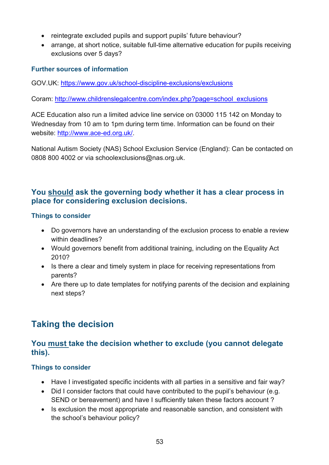- reintegrate excluded pupils and support pupils' future behaviour?
- arrange, at short notice, suitable full-time alternative education for pupils receiving exclusions over 5 days?

### **Further sources of information**

GOV.UK:<https://www.gov.uk/school-discipline-exclusions/exclusions>

Coram: [http://www.childrenslegalcentre.com/index.php?page=school\\_exclusions](http://www.childrenslegalcentre.com/index.php?page=school_exclusions)

ACE Education also run a limited advice line service on [03000 115 142](tel:03000%20115%20142) on Monday to Wednesday from 10 am to 1pm during term time. Information can be found on their website: [http://www.ace-ed.org.uk/.](http://www.ace-ed.org.uk/)

National Autism Society (NAS) School Exclusion Service (England): Can be contacted on 0808 800 4002 or via [schoolexclusions@nas.org.uk.](mailto:schoolexclusions@nas.org.uk)

### **You should ask the governing body whether it has a clear process in place for considering exclusion decisions.**

### **Things to consider**

- Do governors have an understanding of the exclusion process to enable a review within deadlines?
- Would governors benefit from additional training, including on the Equality Act 2010?
- Is there a clear and timely system in place for receiving representations from parents?
- Are there up to date templates for notifying parents of the decision and explaining next steps?

# **Taking the decision**

### **You must take the decision whether to exclude (you cannot delegate this).**

### **Things to consider**

- Have I investigated specific incidents with all parties in a sensitive and fair way?
- Did I consider factors that could have contributed to the pupil's behaviour (e.g. SEND or bereavement) and have I sufficiently taken these factors account ?
- Is exclusion the most appropriate and reasonable sanction, and consistent with the school's behaviour policy?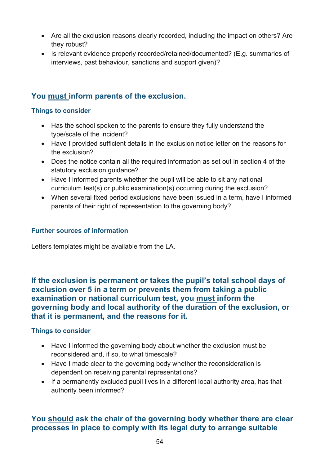- Are all the exclusion reasons clearly recorded, including the impact on others? Are they robust?
- Is relevant evidence properly recorded/retained/documented? (E.g. summaries of interviews, past behaviour, sanctions and support given)?

### **You must inform parents of the exclusion.**

### **Things to consider**

- Has the school spoken to the parents to ensure they fully understand the type/scale of the incident?
- Have I provided sufficient details in the exclusion notice letter on the reasons for the exclusion?
- Does the notice contain all the required information as set out in section 4 of the statutory exclusion guidance?
- Have I informed parents whether the pupil will be able to sit any national curriculum test(s) or public examination(s) occurring during the exclusion?
- When several fixed period exclusions have been issued in a term, have I informed parents of their right of representation to the governing body?

#### **Further sources of information**

Letters templates might be available from the LA.

**If the exclusion is permanent or takes the pupil's total school days of exclusion over 5 in a term or prevents them from taking a public examination or national curriculum test, you must inform the governing body and local authority of the duration of the exclusion, or that it is permanent, and the reasons for it.**

#### **Things to consider**

- Have I informed the governing body about whether the exclusion must be reconsidered and, if so, to what timescale?
- Have I made clear to the governing body whether the reconsideration is dependent on receiving parental representations?
- If a permanently excluded pupil lives in a different local authority area, has that authority been informed?

### **You should ask the chair of the governing body whether there are clear processes in place to comply with its legal duty to arrange suitable**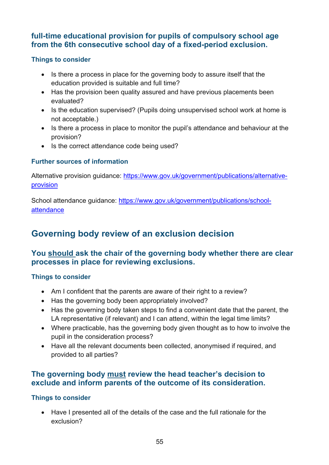### **full-time educational provision for pupils of compulsory school age from the 6th consecutive school day of a fixed-period exclusion.**

### **Things to consider**

- Is there a process in place for the governing body to assure itself that the education provided is suitable and full time?
- Has the provision been quality assured and have previous placements been evaluated?
- Is the education supervised? (Pupils doing unsupervised school work at home is not acceptable.)
- Is there a process in place to monitor the pupil's attendance and behaviour at the provision?
- Is the correct attendance code being used?

### **Further sources of information**

Alternative provision guidance: [https://www.gov.uk/government/publications/alternative](https://www.gov.uk/government/publications/alternative-provision)[provision](https://www.gov.uk/government/publications/alternative-provision)

School attendance guidance: [https://www.gov.uk/government/publications/school](https://www.gov.uk/government/publications/school-attendance)[attendance](https://www.gov.uk/government/publications/school-attendance)

# **Governing body review of an exclusion decision**

### **You should ask the chair of the governing body whether there are clear processes in place for reviewing exclusions.**

#### **Things to consider**

- Am I confident that the parents are aware of their right to a review?
- Has the governing body been appropriately involved?
- Has the governing body taken steps to find a convenient date that the parent, the LA representative (if relevant) and I can attend, within the legal time limits?
- Where practicable, has the governing body given thought as to how to involve the pupil in the consideration process?
- Have all the relevant documents been collected, anonymised if required, and provided to all parties?

### **The governing body must review the head teacher's decision to exclude and inform parents of the outcome of its consideration.**

### **Things to consider**

• Have I presented all of the details of the case and the full rationale for the exclusion?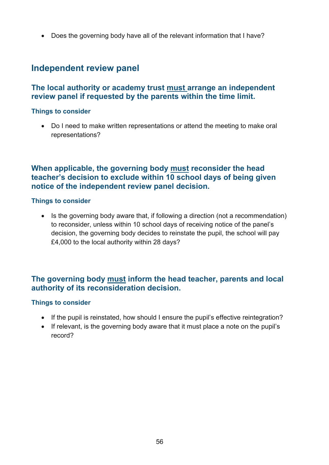• Does the governing body have all of the relevant information that I have?

### **Independent review panel**

### **The local authority or academy trust must arrange an independent review panel if requested by the parents within the time limit.**

#### **Things to consider**

• Do I need to make written representations or attend the meeting to make oral representations?

### **When applicable, the governing body must reconsider the head teacher's decision to exclude within 10 school days of being given notice of the independent review panel decision.**

#### **Things to consider**

• Is the governing body aware that, if following a direction (not a recommendation) to reconsider, unless within 10 school days of receiving notice of the panel's decision, the governing body decides to reinstate the pupil, the school will pay £4,000 to the local authority within 28 days?

### **The governing body must inform the head teacher, parents and local authority of its reconsideration decision.**

#### **Things to consider**

- If the pupil is reinstated, how should I ensure the pupil's effective reintegration?
- If relevant, is the governing body aware that it must place a note on the pupil's record?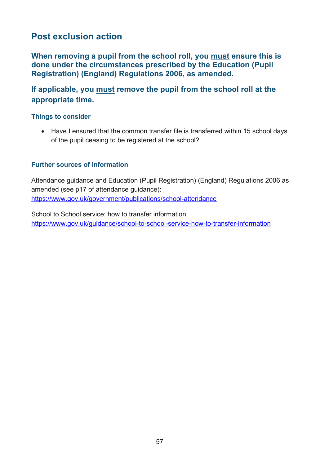# **Post exclusion action**

**When removing a pupil from the school roll, you must ensure this is done under the circumstances prescribed by the Education (Pupil Registration) (England) Regulations 2006, as amended.**

**If applicable, you must remove the pupil from the school roll at the appropriate time.**

#### **Things to consider**

• Have I ensured that the common transfer file is transferred within 15 school days of the pupil ceasing to be registered at the school?

#### **Further sources of information**

Attendance guidance and Education (Pupil Registration) (England) Regulations 2006 as amended (see p17 of attendance guidance): <https://www.gov.uk/government/publications/school-attendance>

School to School service: how to transfer information <https://www.gov.uk/guidance/school-to-school-service-how-to-transfer-information>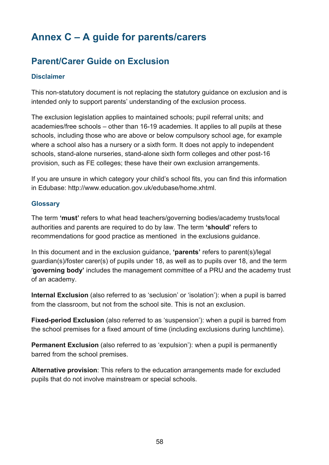# <span id="page-57-0"></span>**Annex C – A guide for parents/carers**

# **Parent/Carer Guide on Exclusion**

### **Disclaimer**

This non-statutory document is not replacing the statutory guidance on exclusion and is intended only to support parents' understanding of the exclusion process.

The exclusion legislation applies to maintained schools; pupil referral units; and academies/free schools – other than 16-19 academies. It applies to all pupils at these schools, including those who are above or below compulsory school age, for example where a school also has a nursery or a sixth form. It does not apply to independent schools, stand-alone nurseries, stand-alone sixth form colleges and other post-16 provision, such as FE colleges; these have their own exclusion arrangements.

If you are unsure in which category your child's school fits, you can find this information in Edubase: [http://www.education.gov.uk/edubase/home.xhtml.](http://www.education.gov.uk/edubase/home.xhtml)

#### **Glossary**

The term **'must'** refers to what head teachers/governing bodies/academy trusts/local authorities and parents are required to do by law. The term **'should'** refers to recommendations for good practice as mentioned in the exclusions guidance.

In this document and in the exclusion guidance, **'parents'** refers to parent(s)/legal guardian(s)/foster carer(s) of pupils under 18, as well as to pupils over 18, and the term '**governing body'** includes the management committee of a PRU and the academy trust of an academy.

**Internal Exclusion** (also referred to as 'seclusion' or 'isolation'): when a pupil is barred from the classroom, but not from the school site. This is not an exclusion.

**Fixed-period Exclusion** (also referred to as 'suspension'): when a pupil is barred from the school premises for a fixed amount of time (including exclusions during lunchtime).

**Permanent Exclusion** (also referred to as 'expulsion'): when a pupil is permanently barred from the school premises.

**Alternative provision**: This refers to the education arrangements made for excluded pupils that do not involve mainstream or special schools.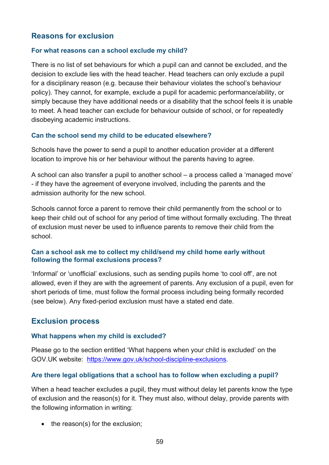### **Reasons for exclusion**

#### **For what reasons can a school exclude my child?**

There is no list of set behaviours for which a pupil can and cannot be excluded, and the decision to exclude lies with the head teacher. Head teachers can only exclude a pupil for a disciplinary reason (e.g. because their behaviour violates the school's behaviour policy). They cannot, for example, exclude a pupil for academic performance/ability, or simply because they have additional needs or a disability that the school feels it is unable to meet. A head teacher can exclude for behaviour outside of school, or for repeatedly disobeying academic instructions.

### **Can the school send my child to be educated elsewhere?**

Schools have the power to send a pupil to another education provider at a different location to improve his or her behaviour without the parents having to agree.

A school can also transfer a pupil to another school – a process called a 'managed move' - if they have the agreement of everyone involved, including the parents and the admission authority for the new school.

Schools cannot force a parent to remove their child permanently from the school or to keep their child out of school for any period of time without formally excluding. The threat of exclusion must never be used to influence parents to remove their child from the school.

#### **Can a school ask me to collect my child/send my child home early without following the formal exclusions process?**

'Informal' or 'unofficial' exclusions, such as sending pupils home 'to cool off', are not allowed, even if they are with the agreement of parents. Any exclusion of a pupil, even for short periods of time, must follow the formal process including being formally recorded (see below). Any fixed-period exclusion must have a stated end date.

### **Exclusion process**

#### **What happens when my child is excluded?**

Please go to the section entitled 'What happens when your child is excluded' on the GOV.UK website: [https://www.gov.uk/school-discipline-exclusions.](https://www.gov.uk/school-discipline-exclusions)

### **Are there legal obligations that a school has to follow when excluding a pupil?**

When a head teacher excludes a pupil, they must without delay let parents know the type of exclusion and the reason(s) for it. They must also, without delay, provide parents with the following information in writing:

• the reason(s) for the exclusion;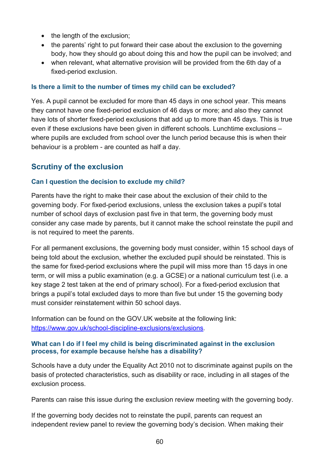- the length of the exclusion:
- the parents' right to put forward their case about the exclusion to the governing body, how they should go about doing this and how the pupil can be involved; and
- when relevant, what alternative provision will be provided from the 6th day of a fixed-period exclusion.

#### **Is there a limit to the number of times my child can be excluded?**

Yes. A pupil cannot be excluded for more than 45 days in one school year. This means they cannot have one fixed-period exclusion of 46 days or more; and also they cannot have lots of shorter fixed-period exclusions that add up to more than 45 days. This is true even if these exclusions have been given in different schools. Lunchtime exclusions – where pupils are excluded from school over the lunch period because this is when their behaviour is a problem - are counted as half a day.

### **Scrutiny of the exclusion**

### **Can I question the decision to exclude my child?**

Parents have the right to make their case about the exclusion of their child to the governing body. For fixed-period exclusions, unless the exclusion takes a pupil's total number of school days of exclusion past five in that term, the governing body must consider any case made by parents, but it cannot make the school reinstate the pupil and is not required to meet the parents.

For all permanent exclusions, the governing body must consider, within 15 school days of being told about the exclusion, whether the excluded pupil should be reinstated. This is the same for fixed-period exclusions where the pupil will miss more than 15 days in one term, or will miss a public examination (e.g. a GCSE) or a national curriculum test (i.e. a key stage 2 test taken at the end of primary school). For a fixed-period exclusion that brings a pupil's total excluded days to more than five but under 15 the governing body must consider reinstatement within 50 school days.

Information can be found on the GOV.UK website at the following link: [https://www.gov.uk/school-discipline-exclusions/exclusions.](https://www.gov.uk/school-discipline-exclusions/exclusions)

#### **What can I do if I feel my child is being discriminated against in the exclusion process, for example because he/she has a disability?**

Schools have a duty under the Equality Act 2010 not to discriminate against pupils on the basis of protected characteristics, such as disability or race, including in all stages of the exclusion process.

Parents can raise this issue during the exclusion review meeting with the governing body.

If the governing body decides not to reinstate the pupil, parents can request an independent review panel to review the governing body's decision. When making their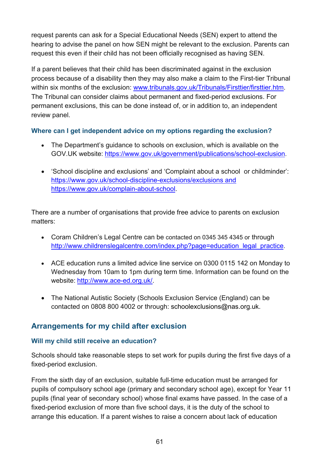request parents can ask for a Special Educational Needs (SEN) expert to attend the hearing to advise the panel on how SEN might be relevant to the exclusion. Parents can request this even if their child has not been officially recognised as having SEN.

If a parent believes that their child has been discriminated against in the exclusion process because of a disability then they may also make a claim to the First-tier Tribunal within six months of the exclusion: [www.tribunals.gov.uk/Tribunals/Firsttier/firsttier.htm.](http://www.tribunals.gov.uk/Tribunals/Firsttier/firsttier.htm) The Tribunal can consider claims about permanent and fixed-period exclusions. For permanent exclusions, this can be done instead of, or in addition to, an independent review panel.

### **Where can I get independent advice on my options regarding the exclusion?**

- The Department's guidance to schools on exclusion, which is available on the GOV.UK website: [https://www.gov.uk/government/publications/school-exclusion.](https://www.gov.uk/government/publications/school-exclusion)
- 'School discipline and exclusions' and 'Complaint about a school or childminder': <https://www.gov.uk/school-discipline-exclusions/exclusions> and https://www.gov.uk/complain-about-school.

There are a number of organisations that provide free advice to parents on exclusion matters:

- Coram Children's Legal Centre can be contacted on 0345 345 4345 or through [http://www.childrenslegalcentre.com/index.php?page=education\\_legal\\_practice.](http://www.childrenslegalcentre.com/index.php?page=education_legal_practice)
- ACE education runs a limited advice line service on 0300 0115 142 on Monday to Wednesday from 10am to 1pm during term time. Information can be found on the website: [http://www.ace-ed.org.uk/.](http://www.ace-ed.org.uk/)
- The National Autistic Society (Schools Exclusion Service (England) can be contacted on 0808 800 4002 or through: [schoolexclusions@nas.org.uk.](mailto:schoolexclusions@nas.org.uk)

### **Arrangements for my child after exclusion**

### **Will my child still receive an education?**

Schools should take reasonable steps to set work for pupils during the first five days of a fixed-period exclusion.

From the sixth day of an exclusion, suitable full-time education must be arranged for pupils of compulsory school age (primary and secondary school age), except for Year 11 pupils (final year of secondary school) whose final exams have passed. In the case of a fixed-period exclusion of more than five school days, it is the duty of the school to arrange this education. If a parent wishes to raise a concern about lack of education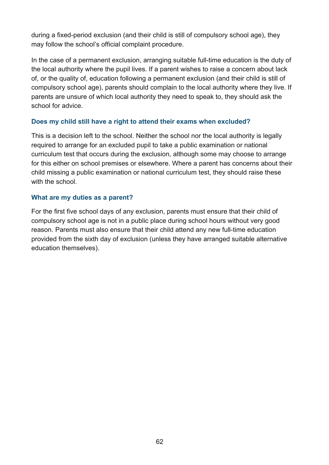during a fixed-period exclusion (and their child is still of compulsory school age), they may follow the school's official complaint procedure.

In the case of a permanent exclusion, arranging suitable full-time education is the duty of the local authority where the pupil lives. If a parent wishes to raise a concern about lack of, or the quality of, education following a permanent exclusion (and their child is still of compulsory school age), parents should complain to the local authority where they live. If parents are unsure of which local authority they need to speak to, they should ask the school for advice.

### **Does my child still have a right to attend their exams when excluded?**

This is a decision left to the school. Neither the school nor the local authority is legally required to arrange for an excluded pupil to take a public examination or national curriculum test that occurs during the exclusion, although some may choose to arrange for this either on school premises or elsewhere. Where a parent has concerns about their child missing a public examination or national curriculum test, they should raise these with the school

#### **What are my duties as a parent?**

For the first five school days of any exclusion, parents must ensure that their child of compulsory school age is not in a public place during school hours without very good reason. Parents must also ensure that their child attend any new full-time education provided from the sixth day of exclusion (unless they have arranged suitable alternative education themselves).